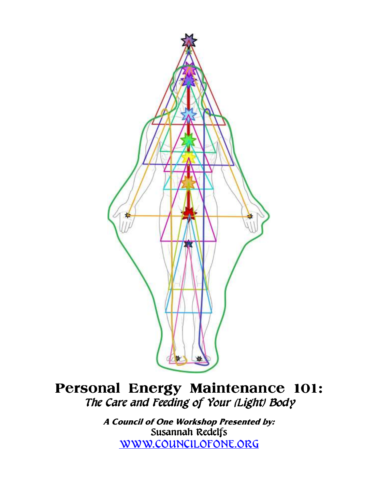

# **Personal Energy Maintenance 101:**  The Care and Feeding of Your (Light) Body

**A Council of One Workshop Presented by:**  Susannah Redelfs WWW.COUNCILOFONE.ORG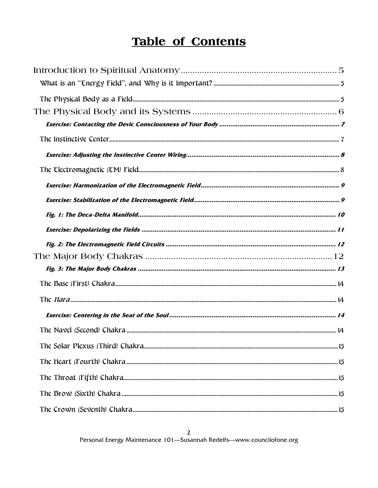# **Table of Contents**

 $\mathbf{2}$ Personal Energy Maintenance 101-Susannah Redelfs-www.councilofone.org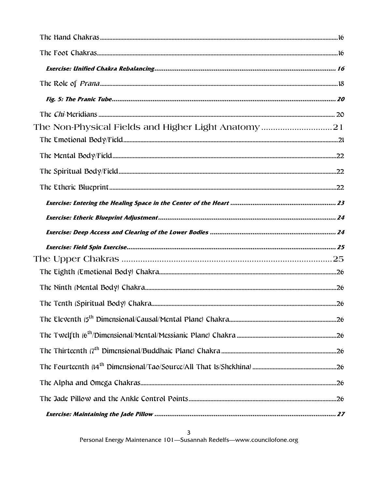| The Non-Physical Fields and Higher Light Anatomy21 |  |
|----------------------------------------------------|--|
|                                                    |  |
|                                                    |  |
|                                                    |  |
|                                                    |  |
|                                                    |  |
|                                                    |  |
|                                                    |  |
|                                                    |  |
|                                                    |  |
|                                                    |  |
|                                                    |  |
|                                                    |  |
|                                                    |  |
|                                                    |  |
|                                                    |  |
|                                                    |  |
|                                                    |  |
|                                                    |  |
|                                                    |  |

 $\mathbf{3}$ Personal Energy Maintenance 101-Susannah Redelfs-www.councilofone.org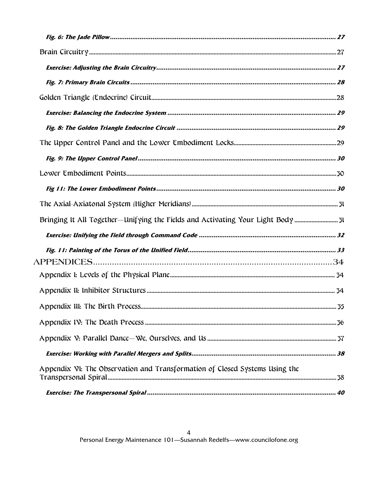| Bringing It All Together-Unifying the Fields and Activating Your Light Body |  |
|-----------------------------------------------------------------------------|--|
|                                                                             |  |
|                                                                             |  |
|                                                                             |  |
|                                                                             |  |
|                                                                             |  |
|                                                                             |  |
|                                                                             |  |
|                                                                             |  |
|                                                                             |  |
| Appendix VI: The Observation and Transformation of Closed Systems Using the |  |
|                                                                             |  |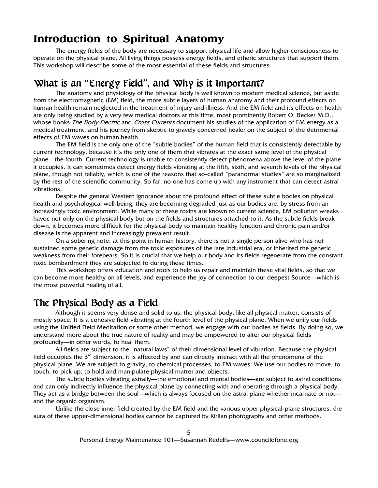## **Introduction to Spiritual Anatomy**

The energy fields of the body are necessary to support physical life and allow higher consciousness to operate on the physical plane. All living things possess energy fields, and etheric structures that support them. This workshop will describe some of the most essential of these fields and structures.

# What is an "Energy Field", and Why is it Important?

The anatomy and physiology of the physical body is well known to modern medical science, but aside from the electromagnetic (EM) field, the more subtle layers of human anatomy and their profound effects on human health remain neglected in the treatment of injury and illness. And the EM field and its effects on health are only being studied by a very few medical doctors at this time, most prominently Robert O. Becker M.D., whose books The Body Electric and Cross Currents document his studies of the application of EM energy as a medical treatment, and his journey from skeptic to gravely concerned healer on the subject of the detrimental effects of EM waves on human health.

 The EM field is the only one of the "subtle bodies" of the human field that is consistently detectable by current technology, because it's the only one of them that vibrates at the exact same level of the physical plane—the fourth. Current technology is unable to consistently detect phenomena above the level of the plane it occupies. It can sometimes detect energy fields vibrating at the fifth, sixth, and seventh levels of the physical plane, though not reliably, which is one of the reasons that so-called "paranormal studies" are so marginalized by the rest of the scientific community. So far, no one has come up with any instrument that can detect astral vibrations.

 Despite the general Western ignorance about the profound effect of these subtle bodies on physical health and psychological well-being, they are becoming degraded just as our bodies are, by stress from an increasingly toxic environment. While many of these toxins are known to current science, EM pollution wreaks havoc not only on the physical body but on the fields and structures attached to it. As the subtle fields break down, it becomes more difficult for the physical body to maintain healthy function and chronic pain and/or disease is the apparent and increasingly prevalent result.

On a sobering note: at this point in human history, there is not a single person alive who has not sustained some genetic damage from the toxic exposures of the late Industrial era, or inherited the genetic weakness from their forebears. So it is crucial that we help our body and its fields regenerate from the constant toxic bombardment they are subjected to during these times.

 This workshop offers education and tools to help us repair and maintain these vital fields, so that we can become more healthy on all levels, and experience the joy of connection to our deepest Source—which is the most powerful healing of all.

#### The Physical Body as a Field

Although it seems very dense and solid to us, the physical body, like all physical matter, consists of mostly space. It is a cohesive field vibrating at the fourth level of the physical plane. When we unify our fields using the Unified Field Meditation or some other method, we engage with our bodies as fields. By doing so, we understand more about the true nature of reality and may be empowered to alter our physical fields profoundly—in other words, to heal them.

 All fields are subject to the "natural laws" of their dimensional level of vibration. Because the physical field occupies the  $3<sup>rd</sup>$  dimension, it is affected by and can directly interact with all the phenomena of the physical plane. We are subject to gravity, to chemical processes, to EM waves. We use our bodies to move, to touch, to pick up, to hold and manipulate physical matter and objects.

The subtle bodies vibrating astrally—the emotional and mental bodies—are subject to astral conditions and can only indirectly influence the physical plane by connecting with and operating through a physical body. They act as a bridge between the soul—which is always focused on the astral plane whether incarnate or not and the organic organism.

Unlike the close inner field created by the EM field and the various upper physical-plane structures, the aura of these upper-dimensional bodies cannot be captured by Kirlian photography and other methods.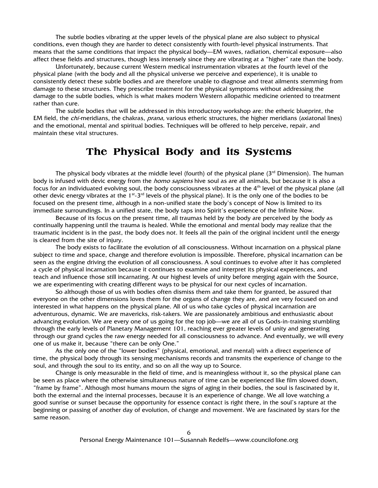The subtle bodies vibrating at the upper levels of the physical plane are also subject to physical conditions, even though they are harder to detect consistently with fourth-level physical instruments. That means that the same conditions that impact the physical body—EM waves, radiation, chemical exposure—also affect these fields and structures, though less intensely since they are vibrating at a "higher" rate than the body.

Unfortunately, because current Western medical instrumentation vibrates at the fourth level of the physical plane (with the body and all the physical universe we perceive and experience), it is unable to consistently detect these subtle bodies and are therefore unable to diagnose and treat ailments stemming from damage to these structures. They prescribe treatment for the physical symptoms without addressing the damage to the subtle bodies, which is what makes modern Western allopathic medicine oriented to treatment rather than cure.

The subtle bodies that will be addressed in this introductory workshop are: the etheric blueprint, the EM field, the *chi-*meridians, the chakras, *prana*, various etheric structures, the higher meridians (axiatonal lines) and the emotional, mental and spiritual bodies. Techniques will be offered to help perceive, repair, and maintain these vital structures.

## **The Physical Body and its Systems**

The physical body vibrates at the middle level (fourth) of the physical plane  $(3<sup>rd</sup>$  Dimension). The human body is infused with devic energy from the *homo sapiens* hive soul as are all animals, but because it is also a focus for an individuated evolving soul, the body consciousness vibrates at the  $4<sup>th</sup>$  level of the physical plane (all other devic energy vibrates at the  $1^{st}$ -3<sup>rd</sup> levels of the physical plane). It is the only one of the bodies to be focused on the present time, although in a non-unified state the body's concept of Now is limited to its immediate surroundings. In a unified state, the body taps into Spirit's experience of the Infinite Now.

Because of its focus on the present time, all traumas held by the body are perceived by the body as continually happening until the trauma is healed. While the emotional and mental body may realize that the traumatic incident is in the past, the body does not. It feels all the pain of the original incident until the energy is cleared from the site of injury.

The body exists to facilitate the evolution of all consciousness. Without incarnation on a physical plane subject to time and space, change and therefore evolution is impossible. Therefore, physical incarnation can be seen as the engine driving the evolution of all consciousness. A soul continues to evolve after it has completed a cycle of physical incarnation because it continues to examine and interpret its physical experiences, and teach and influence those still incarnating. At our highest levels of unity before merging again with the Source, we are experimenting with creating different ways to be physical for our next cycles of incarnation.

So although those of us with bodies often dismiss them and take them for granted, be assured that everyone on the other dimensions loves them for the organs of change they are, and are very focused on and interested in what happens on the physical plane. All of us who take cycles of physical incarnation are adventurous, dynamic. We are mavericks, risk-takers. We are passionately ambitious and enthusiastic about advancing evolution. We are every one of us going for the top job—we are all of us Gods-in-training stumbling through the early levels of Planetary Management 101, reaching ever greater levels of unity and generating through our grand cycles the raw energy needed for all consciousness to advance. And eventually, we will every one of us make it, because "there can be only One."

As the only one of the "lower bodies" (physical, emotional, and mental) with a direct experience of time, the physical body through its sensing mechanisms records and transmits the experience of change to the soul, and through the soul to its entity, and so on all the way up to Source.

Change is only measurable in the field of time, and is meaningless without it, so the physical plane can be seen as place where the otherwise simultaneous nature of time can be experienced like film slowed down, "frame by frame". Although most humans mourn the signs of aging in their bodies, the soul is fascinated by it, both the external and the internal processes, because it is an experience of change. We all love watching a good sunrise or sunset because the opportunity for essence contact is right there, in the soul's rapture at the beginning or passing of another day of evolution, of change and movement. We are fascinated by stars for the same reason.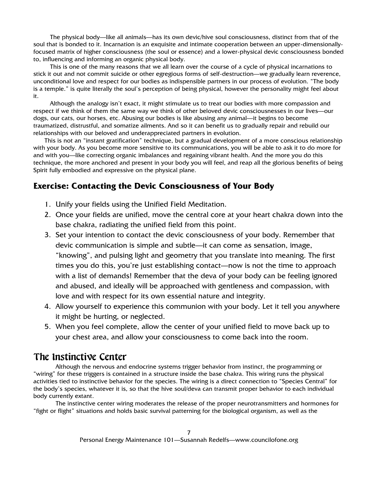The physical body—like all animals—has its own devic/hive soul consciousness, distinct from that of the soul that is bonded to it. Incarnation is an exquisite and intimate cooperation between an upper-dimensionallyfocused matrix of higher consciousness (the soul or essence) and a lower-physical devic consciousness bonded to, influencing and informing an organic physical body.

This is one of the many reasons that we all learn over the course of a cycle of physical incarnations to stick it out and not commit suicide or other egregious forms of self-destruction—we gradually learn reverence, unconditional love and respect for our bodies as indispensible partners in our process of evolution. "The body is a temple." is quite literally the soul's perception of being physical, however the personality might feel about it.

Although the analogy isn't exact, it might stimulate us to treat our bodies with more compassion and respect if we think of them the same way we think of other beloved devic consciousnesses in our lives—our dogs, our cats, our horses, etc. Abusing our bodies is like abusing any animal—it begins to become traumatized, distrustful, and somatize ailments. And so it can benefit us to gradually repair and rebuild our relationships with our beloved and underappreciated partners in evolution.

This is not an "instant gratification" technique, but a gradual development of a more conscious relationship with your body. As you become more sensitive to its communications, you will be able to ask it to do more for and with you—like correcting organic imbalances and regaining vibrant health. And the more you do this technique, the more anchored and present in your body you will feel, and reap all the glorious benefits of being Spirit fully embodied and expressive on the physical plane.

#### **Exercise: Contacting the Devic Consciousness of Your Body**

- 1. Unify your fields using the Unified Field Meditation.
- 2. Once your fields are unified, move the central core at your heart chakra down into the base chakra, radiating the unified field from this point.
- 3. Set your intention to contact the devic consciousness of your body. Remember that devic communication is simple and subtle—it can come as sensation, image, "knowing", and pulsing light and geometry that you translate into meaning. The first times you do this, you're just establishing contact—now is not the time to approach with a list of demands! Remember that the deva of your body can be feeling ignored and abused, and ideally will be approached with gentleness and compassion, with love and with respect for its own essential nature and integrity.
- 4. Allow yourself to experience this communion with your body. Let it tell you anywhere it might be hurting, or neglected.
- 5. When you feel complete, allow the center of your unified field to move back up to your chest area, and allow your consciousness to come back into the room.

#### The Instinctive Center

Although the nervous and endocrine systems trigger behavior from instinct, the programming or "wiring" for these triggers is contained in a structure inside the base chakra. This wiring runs the physical activities tied to instinctive behavior for the species. The wiring is a direct connection to "Species Central" for the body's species, whatever it is, so that the hive soul/deva can transmit proper behavior to each individual body currently extant.

The instinctive center wiring moderates the release of the proper neurotransmitters and hormones for "fight or flight" situations and holds basic survival patterning for the biological organism, as well as the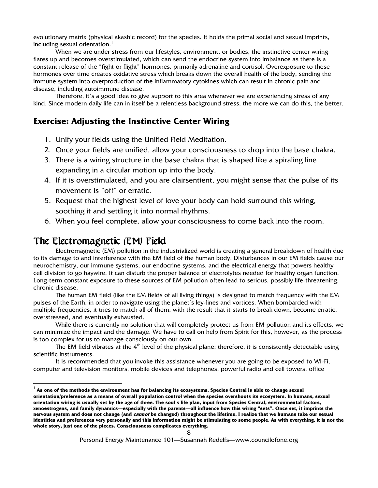evolutionary matrix (physical akashic record) for the species. It holds the primal social and sexual imprints, including sexual orientation.<sup>1</sup>

When we are under stress from our lifestyles, environment, or bodies, the instinctive center wiring flares up and becomes overstimulated, which can send the endocrine system into imbalance as there is a constant release of the "fight or flight" hormones, primarily adrenaline and cortisol. Overexposure to these hormones over time creates oxidative stress which breaks down the overall health of the body, sending the immune system into overproduction of the inflammatory cytokines which can result in chronic pain and disease, including autoimmune disease.

Therefore, it's a good idea to give support to this area whenever we are experiencing stress of any kind. Since modern daily life can in itself be a relentless background stress, the more we can do this, the better.

#### **Exercise: Adjusting the Instinctive Center Wiring**

- 1. Unify your fields using the Unified Field Meditation.
- 2. Once your fields are unified, allow your consciousness to drop into the base chakra.
- 3. There is a wiring structure in the base chakra that is shaped like a spiraling line expanding in a circular motion up into the body.
- 4. If it is overstimulated, and you are clairsentient, you might sense that the pulse of its movement is "off" or erratic.
- 5. Request that the highest level of love your body can hold surround this wiring, soothing it and settling it into normal rhythms.
- 6. When you feel complete, allow your consciousness to come back into the room.

## The Electromagnetic (EM) Field

l

Electromagnetic (EM) pollution in the industrialized world is creating a general breakdown of health due to its damage to and interference with the EM field of the human body. Disturbances in our EM fields cause our neurochemistry, our immune systems, our endocrine systems, and the electrical energy that powers healthy cell division to go haywire. It can disturb the proper balance of electrolytes needed for healthy organ function. Long-term constant exposure to these sources of EM pollution often lead to serious, possibly life-threatening, chronic disease.

The human EM field (like the EM fields of all living things) is designed to match frequency with the EM pulses of the Earth, in order to navigate using the planet's ley-lines and vortices. When bombarded with multiple frequencies, it tries to match all of them, with the result that it starts to break down, become erratic, overstressed, and eventually exhausted.

While there is currently no solution that will completely protect us from EM pollution and its effects, we can minimize the impact and the damage. We have to call on help from Spirit for this, however, as the process is too complex for us to manage consciously on our own.

The EM field vibrates at the  $4<sup>th</sup>$  level of the physical plane; therefore, it is consistently detectable using scientific instruments.

It is recommended that you invoke this assistance whenever you are going to be exposed to Wi-Fi, computer and television monitors, mobile devices and telephones, powerful radio and cell towers, office

<sup>1</sup> **As one of the methods the environment has for balancing its ecosystems, Species Central is able to change sexual orientation/preference as a means of overall population control when the species overshoots its ecosystem. In humans, sexual orientation wiring is usually set by the age of three. The soul's life plan, input from Species Central, environmental factors, xenoestrogens, and family dynamics—especially with the parents—all influence how this wiring "sets". Once set, it imprints the nervous system and does not change (and cannot be changed) throughout the lifetime. I realize that we humans take our sexual identities and preferences very personally and this information might be stimulating to some people. As with everything, it is not the whole story, just one of the pieces. Consciousness complicates everything.**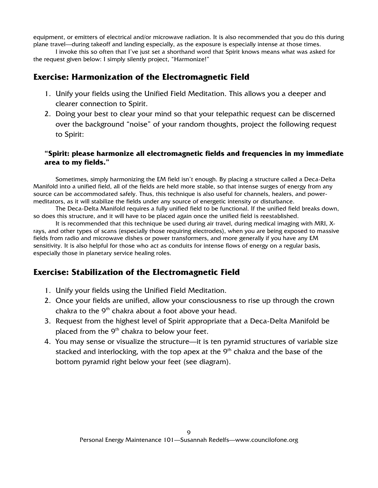equipment, or emitters of electrical and/or microwave radiation. It is also recommended that you do this during plane travel—during takeoff and landing especially, as the exposure is especially intense at those times.

I invoke this so often that I've just set a shorthand word that Spirit knows means what was asked for the request given below: I simply silently project, "Harmonize!"

#### **Exercise: Harmonization of the Electromagnetic Field**

- 1. Unify your fields using the Unified Field Meditation. This allows you a deeper and clearer connection to Spirit.
- 2. Doing your best to clear your mind so that your telepathic request can be discerned over the background "noise" of your random thoughts, project the following request to Spirit:

#### **"Spirit: please harmonize all electromagnetic fields and frequencies in my immediate area to my fields."**

Sometimes, simply harmonizing the EM field isn't enough. By placing a structure called a Deca-Delta Manifold into a unified field, all of the fields are held more stable, so that intense surges of energy from any source can be accommodated safely. Thus, this technique is also useful for channels, healers, and powermeditators, as it will stabilize the fields under any source of energetic intensity or disturbance.

The Deca-Delta Manifold requires a fully unified field to be functional. If the unified field breaks down, so does this structure, and it will have to be placed again once the unified field is reestablished.

It is recommended that this technique be used during air travel, during medical imaging with MRI, Xrays, and other types of scans (especially those requiring electrodes), when you are being exposed to massive fields from radio and microwave dishes or power transformers, and more generally if you have any EM sensitivity. It is also helpful for those who act as conduits for intense flows of energy on a regular basis, especially those in planetary service healing roles.

#### **Exercise: Stabilization of the Electromagnetic Field**

- 1. Unify your fields using the Unified Field Meditation.
- 2. Once your fields are unified, allow your consciousness to rise up through the crown chakra to the  $9<sup>th</sup>$  chakra about a foot above your head.
- 3. Request from the highest level of Spirit appropriate that a Deca-Delta Manifold be placed from the  $9<sup>th</sup>$  chakra to below your feet.
- 4. You may sense or visualize the structure—it is ten pyramid structures of variable size stacked and interlocking, with the top apex at the  $9<sup>th</sup>$  chakra and the base of the bottom pyramid right below your feet (see diagram).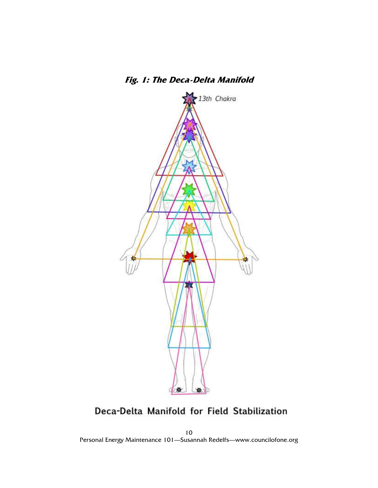

Deca-Delta Manifold for Field Stabilization

10 Personal Energy Maintenance 101—Susannah Redelfs—www.councilofone.org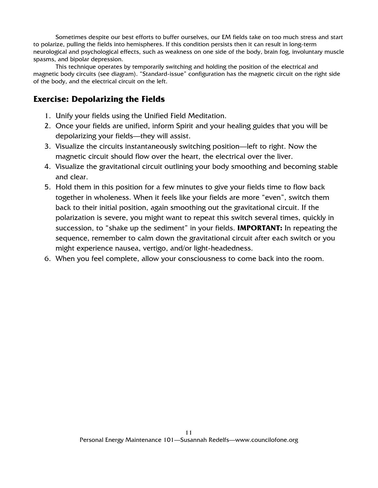Sometimes despite our best efforts to buffer ourselves, our EM fields take on too much stress and start to polarize, pulling the fields into hemispheres. If this condition persists then it can result in long-term neurological and psychological effects, such as weakness on one side of the body, brain fog, involuntary muscle spasms, and bipolar depression.

This technique operates by temporarily switching and holding the position of the electrical and magnetic body circuits (see diagram). "Standard-issue" configuration has the magnetic circuit on the right side of the body, and the electrical circuit on the left.

#### **Exercise: Depolarizing the Fields**

- 1. Unify your fields using the Unified Field Meditation.
- 2. Once your fields are unified, inform Spirit and your healing guides that you will be depolarizing your fields—they will assist.
- 3. Visualize the circuits instantaneously switching position—left to right. Now the magnetic circuit should flow over the heart, the electrical over the liver.
- 4. Visualize the gravitational circuit outlining your body smoothing and becoming stable and clear.
- 5. Hold them in this position for a few minutes to give your fields time to flow back together in wholeness. When it feels like your fields are more "even", switch them back to their initial position, again smoothing out the gravitational circuit. If the polarization is severe, you might want to repeat this switch several times, quickly in succession, to "shake up the sediment" in your fields. **IMPORTANT:** In repeating the sequence, remember to calm down the gravitational circuit after each switch or you might experience nausea, vertigo, and/or light-headedness.
- 6. When you feel complete, allow your consciousness to come back into the room.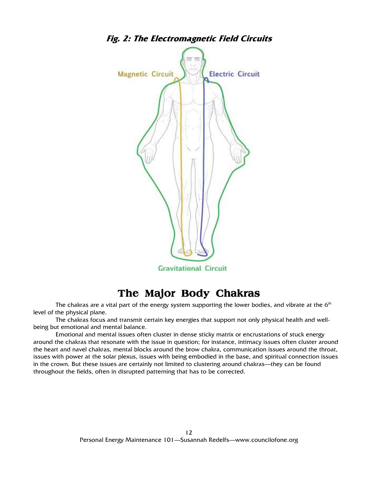

# **The Major Body Chakras**

The chakras are a vital part of the energy system supporting the lower bodies, and vibrate at the 6<sup>th</sup> level of the physical plane.

The chakras focus and transmit certain key energies that support not only physical health and wellbeing but emotional and mental balance.

Emotional and mental issues often cluster in dense sticky matrix or encrustations of stuck energy around the chakras that resonate with the issue in question; for instance, intimacy issues often cluster around the heart and navel chakras, mental blocks around the brow chakra, communication issues around the throat, issues with power at the solar plexus, issues with being embodied in the base, and spiritual connection issues in the crown. But these issues are certainly not limited to clustering around chakras—they can be found throughout the fields, often in disrupted patterning that has to be corrected.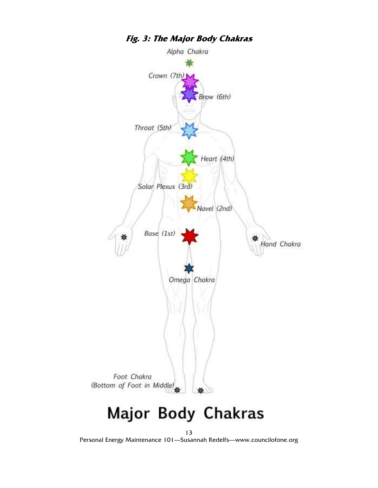

# Major Body Chakras

13 Personal Energy Maintenance 101—Susannah Redelfs—www.councilofone.org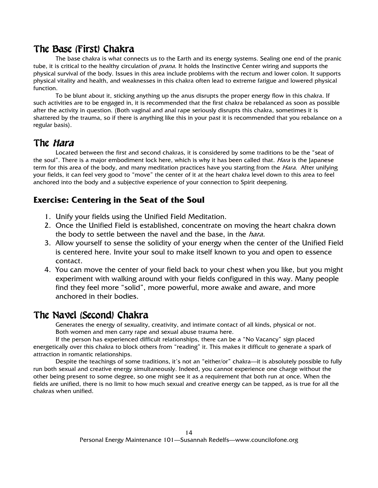## The Base (First) Chakra

The base chakra is what connects us to the Earth and its energy systems. Sealing one end of the pranic tube, it is critical to the healthy circulation of *prana.* It holds the Instinctive Center wiring and supports the physical survival of the body. Issues in this area include problems with the rectum and lower colon. It supports physical vitality and health, and weaknesses in this chakra often lead to extreme fatigue and lowered physical function.

To be blunt about it, sticking anything up the anus disrupts the proper energy flow in this chakra. If such activities are to be engaged in, it is recommended that the first chakra be rebalanced as soon as possible after the activity in question. (Both vaginal and anal rape seriously disrupts this chakra, sometimes it is shattered by the trauma, so if there is anything like this in your past it is recommended that you rebalance on a regular basis).

#### The *Hara*

Located between the first and second chakras, it is considered by some traditions to be the "seat of the soul". There is a major embodiment lock here, which is why it has been called that. *Hara* is the Japanese term for this area of the body, and many meditation practices have you starting from the *Hara*. After unifying your fields, it can feel very good to "move" the center of it at the heart chakra level down to this area to feel anchored into the body and a subjective experience of your connection to Spirit deepening.

#### **Exercise: Centering in the Seat of the Soul**

- 1. Unify your fields using the Unified Field Meditation.
- 2. Once the Unified Field is established, concentrate on moving the heart chakra down the body to settle between the navel and the base, in the *hara.*
- 3. Allow yourself to sense the solidity of your energy when the center of the Unified Field is centered here. Invite your soul to make itself known to you and open to essence contact.
- 4. You can move the center of your field back to your chest when you like, but you might experiment with walking around with your fields configured in this way. Many people find they feel more "solid", more powerful, more awake and aware, and more anchored in their bodies.

## The Navel (Second) Chakra The Navel Chakra

Generates the energy of sexuality, creativity, and intimate contact of all kinds, physical or not. Both women and men carry rape and sexual abuse trauma here.

If the person has experienced difficult relationships, there can be a "No Vacancy" sign placed energetically over this chakra to block others from "reading" it. This makes it difficult to generate a spark of attraction in romantic relationships.

Despite the teachings of some traditions, it's not an "either/or" chakra—it is absolutely possible to fully run both sexual and creative energy simultaneously. Indeed, you cannot experience one charge without the other being present to some degree, so one might see it as a requirement that both run at once. When the fields are unified, there is no limit to how much sexual and creative energy can be tapped, as is true for all the chakras when unified.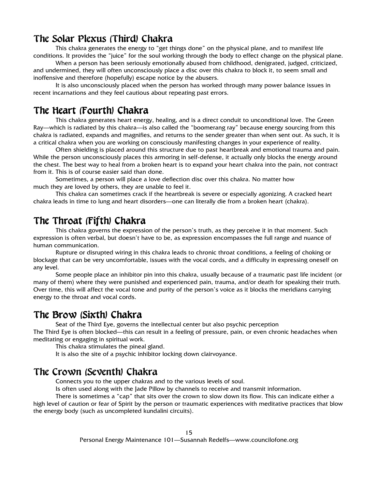#### The Solar Plexus (Third) Chakra

This chakra generates the energy to "get things done" on the physical plane, and to manifest life conditions. It provides the "juice" for the soul working through the body to effect change on the physical plane.

When a person has been seriously emotionally abused from childhood, denigrated, judged, criticized, and undermined, they will often unconsciously place a disc over this chakra to block it, to seem small and inoffensive and therefore (hopefully) escape notice by the abusers.

It is also unconsciously placed when the person has worked through many power balance issues in recent incarnations and they feel cautious about repeating past errors.

#### The Heart (Fourth) Chakra

This chakra generates heart energy, healing, and is a direct conduit to unconditional love. The Green Ray—which is radiated by this chakra—is also called the "boomerang ray" because energy sourcing from this chakra is radiated, expands and magnifies, and returns to the sender greater than when sent out. As such, it is a critical chakra when you are working on consciously manifesting changes in your experience of reality.

Often shielding is placed around this structure due to past heartbreak and emotional trauma and pain. While the person unconsciously places this armoring in self-defense, it actually only blocks the energy around the chest. The best way to heal from a broken heart is to expand your heart chakra into the pain, not contract from it. This is of course easier said than done.

Sometimes, a person will place a love deflection disc over this chakra. No matter how much they are loved by others, they are unable to feel it.

This chakra can sometimes crack if the heartbreak is severe or especially agonizing. A cracked heart chakra leads in time to lung and heart disorders—one can literally die from a broken heart (chakra).

#### The Throat (Fifth) Chakra

This chakra governs the expression of the person's truth, as they perceive it in that moment. Such expression is often verbal, but doesn't have to be, as expression encompasses the full range and nuance of human communication.

Rupture or disrupted wiring in this chakra leads to chronic throat conditions, a feeling of choking or blockage that can be very uncomfortable, issues with the vocal cords, and a difficulty in expressing oneself on any level.

Some people place an inhibitor pin into this chakra, usually because of a traumatic past life incident (or many of them) where they were punished and experienced pain, trauma, and/or death for speaking their truth. Over time, this will affect the vocal tone and purity of the person's voice as it blocks the meridians carrying energy to the throat and vocal cords.

#### The Brow (Sixth) Chakra

Seat of the Third Eye, governs the intellectual center but also psychic perception The Third Eye is often blocked—this can result in a feeling of pressure, pain, or even chronic headaches when

meditating or engaging in spiritual work. This chakra stimulates the pineal gland.

It is also the site of a psychic inhibitor locking down clairvoyance.

#### The Crown (Seventh) Chakra

Connects you to the upper chakras and to the various levels of soul.

Is often used along with the Jade Pillow by channels to receive and transmit information.

There is sometimes a "cap" that sits over the crown to slow down its flow. This can indicate either a high level of caution or fear of Spirit by the person or traumatic experiences with meditative practices that blow the energy body (such as uncompleted kundalini circuits).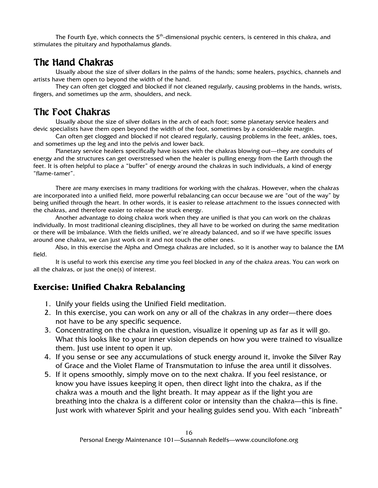The Fourth Eye, which connects the 5<sup>th</sup>-dimensional psychic centers, is centered in this chakra, and stimulates the pituitary and hypothalamus glands.

#### The Hand Chakras

Usually about the size of silver dollars in the palms of the hands; some healers, psychics, channels and artists have them open to beyond the width of the hand.

They can often get clogged and blocked if not cleaned regularly, causing problems in the hands, wrists, fingers, and sometimes up the arm, shoulders, and neck.

## The Foot Chakras

Usually about the size of silver dollars in the arch of each foot; some planetary service healers and devic specialists have them open beyond the width of the foot, sometimes by a considerable margin.

Can often get clogged and blocked if not cleared regularly, causing problems in the feet, ankles, toes, and sometimes up the leg and into the pelvis and lower back.

Planetary service healers specifically have issues with the chakras blowing out—they are conduits of energy and the structures can get overstressed when the healer is pulling energy from the Earth through the feet. It is often helpful to place a "buffer" of energy around the chakras in such individuals, a kind of energy "flame-tamer".

There are many exercises in many traditions for working with the chakras. However, when the chakras are incorporated into a unified field, more powerful rebalancing can occur because we are "out of the way" by being unified through the heart. In other words, it is easier to release attachment to the issues connected with the chakras, and therefore easier to release the stuck energy.

Another advantage to doing chakra work when they are unified is that you can work on the chakras individually. In most traditional cleaning disciplines, they all have to be worked on during the same meditation or there will be imbalance. With the fields unified, we're already balanced, and so if we have specific issues around one chakra, we can just work on it and not touch the other ones.

Also, in this exercise the Alpha and Omega chakras are included, so it is another way to balance the EM field.

It is useful to work this exercise any time you feel blocked in any of the chakra areas. You can work on all the chakras, or just the one(s) of interest.

#### **Exercise: Unified Chakra Rebalancing**

- 1. Unify your fields using the Unified Field meditation.
- 2. In this exercise, you can work on any or all of the chakras in any order—there does not have to be any specific sequence.
- 3. Concentrating on the chakra in question, visualize it opening up as far as it will go. What this looks like to your inner vision depends on how you were trained to visualize them. Just use intent to open it up.
- 4. If you sense or see any accumulations of stuck energy around it, invoke the Silver Ray of Grace and the Violet Flame of Transmutation to infuse the area until it dissolves.
- 5. If it opens smoothly, simply move on to the next chakra. If you feel resistance, or know you have issues keeping it open, then direct light into the chakra, as if the chakra was a mouth and the light breath. It may appear as if the light you are breathing into the chakra is a different color or intensity than the chakra—this is fine. Just work with whatever Spirit and your healing guides send you. With each "inbreath"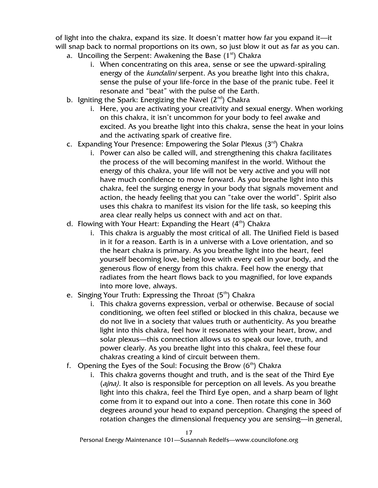of light into the chakra, expand its size. It doesn't matter how far you expand it—it will snap back to normal proportions on its own, so just blow it out as far as you can.

- a. Uncoiling the Serpent: Awakening the Base  $(1<sup>st</sup>)$  Chakra
	- i. When concentrating on this area, sense or see the upward-spiraling energy of the kundalini serpent. As you breathe light into this chakra, sense the pulse of your life-force in the base of the pranic tube. Feel it resonate and "beat" with the pulse of the Earth.
- b. Igniting the Spark: Energizing the Navel  $(2^{nd})$  Chakra
	- i. Here, you are activating your creativity and sexual energy. When working on this chakra, it isn't uncommon for your body to feel awake and excited. As you breathe light into this chakra, sense the heat in your loins and the activating spark of creative fire.
- c. Expanding Your Presence: Empowering the Solar Plexus  $(3<sup>rd</sup>)$  Chakra
	- i. Power can also be called will, and strengthening this chakra facilitates the process of the will becoming manifest in the world. Without the energy of this chakra, your life will not be very active and you will not have much confidence to move forward. As you breathe light into this chakra, feel the surging energy in your body that signals movement and action, the heady feeling that you can "take over the world". Spirit also uses this chakra to manifest its vision for the life task, so keeping this area clear really helps us connect with and act on that.
- d. Flowing with Your Heart: Expanding the Heart  $(4<sup>th</sup>)$  Chakra
	- i. This chakra is arguably the most critical of all. The Unified Field is based in it for a reason. Earth is in a universe with a Love orientation, and so the heart chakra is primary. As you breathe light into the heart, feel yourself becoming love, being love with every cell in your body, and the generous flow of energy from this chakra. Feel how the energy that radiates from the heart flows back to you magnified, for love expands into more love, always.
- e. Singing Your Truth: Expressing the Throat  $(5<sup>th</sup>)$  Chakra
	- i. This chakra governs expression, verbal or otherwise. Because of social conditioning, we often feel stifled or blocked in this chakra, because we do not live in a society that values truth or authenticity. As you breathe light into this chakra, feel how it resonates with your heart, brow, and solar plexus—this connection allows us to speak our love, truth, and power clearly. As you breathe light into this chakra, feel these four chakras creating a kind of circuit between them.
- f. Opening the Eyes of the Soul: Focusing the Brow  $(6<sup>th</sup>)$  Chakra
	- i. This chakra governs thought and truth, and is the seat of the Third Eye (*ajna*). It also is responsible for perception on all levels. As you breathe light into this chakra, feel the Third Eye open, and a sharp beam of light come from it to expand out into a cone. Then rotate this cone in 360 degrees around your head to expand perception. Changing the speed of rotation changes the dimensional frequency you are sensing—in general,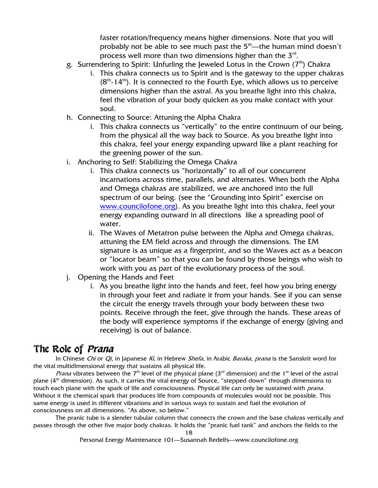faster rotation/frequency means higher dimensions. Note that you will probably not be able to see much past the  $5<sup>th</sup>$ —the human mind doesn't process well more than two dimensions higher than the  $3^{\text{rd}}$ .

- g. Surrendering to Spirit: Unfurling the Jeweled Lotus in the Crown  $(7<sup>th</sup>)$  Chakra
	- i. This chakra connects us to Spirit and is the gateway to the upper chakras  $(8<sup>th</sup> - 14<sup>th</sup>)$ . It is connected to the Fourth Eye, which allows us to perceive dimensions higher than the astral. As you breathe light into this chakra, feel the vibration of your body quicken as you make contact with your soul.
- h. Connecting to Source: Attuning the Alpha Chakra
	- i. This chakra connects us "vertically" to the entire continuum of our being, from the physical all the way back to Source. As you breathe light into this chakra, feel your energy expanding upward like a plant reaching for the greening power of the sun.
- i. Anchoring to Self: Stabilizing the Omega Chakra
	- i. This chakra connects us "horizontally" to all of our concurrent incarnations across time, parallels, and alternates. When both the Alpha and Omega chakras are stabilized, we are anchored into the full spectrum of our being. (see the "Grounding into Spirit" exercise on www.councilofone.org). As you breathe light into this chakra, feel your energy expanding outward in all directions like a spreading pool of water.
	- ii. The Waves of Metatron pulse between the Alpha and Omega chakras, attuning the EM field across and through the dimensions. The EM signature is as unique as a fingerprint, and so the Waves act as a beacon or "locator beam" so that you can be found by those beings who wish to work with you as part of the evolutionary process of the soul.
- j. Opening the Hands and Feet
	- i. As you breathe light into the hands and feet, feel how you bring energy in through your feet and radiate it from your hands. See if you can sense the circuit the energy travels through your body between these two points. Receive through the feet, give through the hands. These areas of the body will experience symptoms if the exchange of energy (giving and receiving) is out of balance.

#### The Role of *Prana*

In Chinese Chi or Qi, in Japanese Ki, in Hebrew Shefa, in Arabic Baraka, prana is the Sanskrit word for the vital multidimensional energy that sustains all physical life.

*Prana* vibrates between the 7<sup>th</sup> level of the physical plane (3<sup>rd</sup> dimension) and the 1<sup>st</sup> level of the astral plane  $(4<sup>th</sup>$  dimension). As such, it carries the vital energy of Source, "stepped down" through dimensions to touch each plane with the spark of life and consciousness. Physical life can only be sustained with *prana*. Without it the chemical spark that produces life from compounds of molecules would not be possible. This same energy is used in different vibrations and in various ways to sustain and fuel the evolution of consciousness on all dimensions. "As above, so below."

The pranic tube is a slender tubular column that connects the crown and the base chakras vertically and passes through the other five major body chakras. It holds the "pranic fuel tank" and anchors the fields to the

Personal Energy Maintenance 101—Susannah Redelfs—www.councilofone.org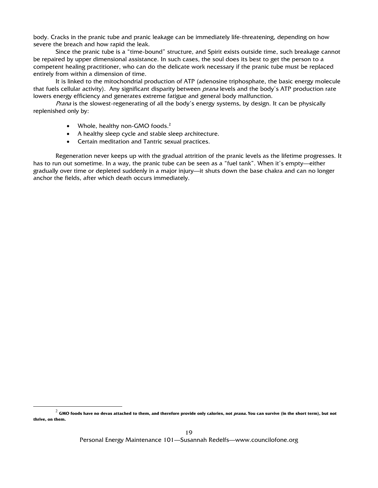body. Cracks in the pranic tube and pranic leakage can be immediately life-threatening, depending on how severe the breach and how rapid the leak.

Since the pranic tube is a "time-bound" structure, and Spirit exists outside time, such breakage cannot be repaired by upper dimensional assistance. In such cases, the soul does its best to get the person to a competent healing practitioner, who can do the delicate work necessary if the pranic tube must be replaced entirely from within a dimension of time.

It is linked to the mitochondrial production of ATP (adenosine triphosphate, the basic energy molecule that fuels cellular activity). Any significant disparity between *prana* levels and the body's ATP production rate lowers energy efficiency and generates extreme fatigue and general body malfunction.

Prana is the slowest-regenerating of all the body's energy systems, by design. It can be physically replenished only by:

• Whole, healthy non-GMO foods. $2^2$ 

l

- A healthy sleep cycle and stable sleep architecture.
- Certain meditation and Tantric sexual practices.

Regeneration never keeps up with the gradual attrition of the pranic levels as the lifetime progresses. It has to run out sometime. In a way, the pranic tube can be seen as a "fuel tank". When it's empty—either gradually over time or depleted suddenly in a major injury—it shuts down the base chakra and can no longer anchor the fields, after which death occurs immediately.

<sup>&</sup>lt;sup>2</sup> GMO foods have no devas attached to them, and therefore provide only calories, not *prana.* You can survive (in the short term), but not **thrive, on them.**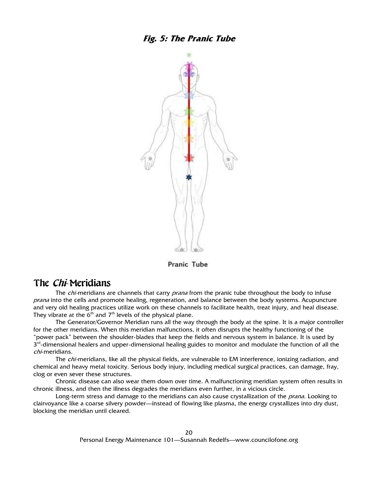

**Pranic Tube** 

#### The *Chi*-Meridians

The *chi-*meridians are channels that carry *prana* from the pranic tube throughout the body to infuse prana into the cells and promote healing, regeneration, and balance between the body systems. Acupuncture and very old healing practices utilize work on these channels to facilitate health, treat injury, and heal disease. They vibrate at the  $6<sup>th</sup>$  and  $7<sup>th</sup>$  levels of the physical plane.

The Generator/Governor Meridian runs all the way through the body at the spine. It is a major controller for the other meridians. When this meridian malfunctions, it often disrupts the healthy functioning of the "power pack" between the shoulder-blades that keep the fields and nervous system in balance. It is used by 3<sup>rd</sup>-dimensional healers and upper-dimensional healing guides to monitor and modulate the function of all the chi-meridians.

The chi-meridians, like all the physical fields, are vulnerable to EM interference, ionizing radiation, and chemical and heavy metal toxicity. Serious body injury, including medical surgical practices, can damage, fray, clog or even sever these structures.

Chronic disease can also wear them down over time. A malfunctioning meridian system often results in chronic illness, and then the illness degrades the meridians even further, in a vicious circle.

Long-term stress and damage to the meridians can also cause crystallization of the prana. Looking to clairvoyance like a coarse silvery powder—instead of flowing like plasma, the energy crystallizes into dry dust, blocking the meridian until cleared.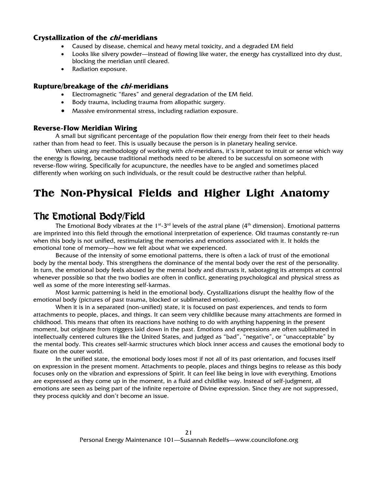#### **Crystallization of the chi-meridians**

- Caused by disease, chemical and heavy metal toxicity, and a degraded EM field
- Looks like silvery powder—instead of flowing like water, the energy has crystallized into dry dust, blocking the meridian until cleared.
- Radiation exposure.

#### **Rupture/breakage of the chi-meridians**

- Electromagnetic "flares" and general degradation of the EM field.
- Body trauma, including trauma from allopathic surgery.
- Massive environmental stress, including radiation exposure.

#### **Reverse-Flow Meridian Wiring**

A small but significant percentage of the population flow their energy from their feet to their heads rather than from head to feet. This is usually because the person is in planetary healing service.

When using any methodology of working with *chi-*meridians, it's important to intuit or sense which way the energy is flowing, because traditional methods need to be altered to be successful on someone with reverse-flow wiring. Specifically for acupuncture, the needles have to be angled and sometimes placed differently when working on such individuals, or the result could be destructive rather than helpful.

# **The Non-Physical Fields and Higher Light Anatomy**

## The Emotional Body/Field

The Emotional Body vibrates at the 1<sup>st</sup>-3<sup>rd</sup> levels of the astral plane (4<sup>th</sup> dimension). Emotional patterns are imprinted into this field through the emotional interpretation of experience. Old traumas constantly re-run when this body is not unified, restimulating the memories and emotions associated with it. It holds the emotional tone of memory—how we felt about what we experienced.

Because of the intensity of some emotional patterns, there is often a lack of trust of the emotional body by the mental body. This strengthens the dominance of the mental body over the rest of the personality. In turn, the emotional body feels abused by the mental body and distrusts it, sabotaging its attempts at control whenever possible so that the two bodies are often in conflict, generating psychological and physical stress as well as some of the more interesting self-karmas.

Most karmic patterning is held in the emotional body. Crystallizations disrupt the healthy flow of the emotional body (pictures of past trauma, blocked or sublimated emotion).

When it is in a separated (non-unified) state, it is focused on past experiences, and tends to form attachments to people, places, and things. It can seem very childlike because many attachments are formed in childhood. This means that often its reactions have nothing to do with anything happening in the present moment, but originate from triggers laid down in the past. Emotions and expressions are often sublimated in intellectually centered cultures like the United States, and judged as "bad", "negative", or "unacceptable" by the mental body. This creates self-karmic structures which block inner access and causes the emotional body to fixate on the outer world.

In the unified state, the emotional body loses most if not all of its past orientation, and focuses itself on expression in the present moment. Attachments to people, places and things begins to release as this body focuses only on the vibration and expressions of Spirit. It can feel like being in love with everything. Emotions are expressed as they come up in the moment, in a fluid and childlike way. Instead of self-judgment, all emotions are seen as being part of the infinite repertoire of Divine expression. Since they are not suppressed, they process quickly and don't become an issue.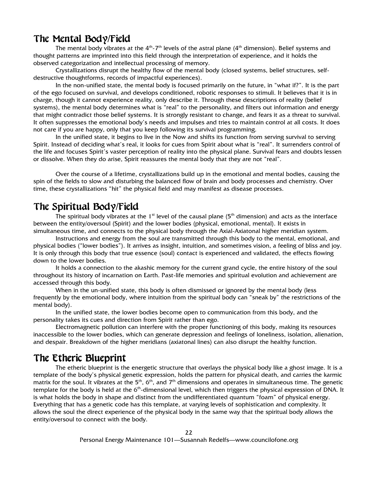#### The Mental Body/Field

The mental body vibrates at the  $4^{th}$ -7<sup>th</sup> levels of the astral plane ( $4^{th}$  dimension). Belief systems and thought patterns are imprinted into this field through the interpretation of experience, and it holds the observed categorization and intellectual processing of memory.

Crystallizations disrupt the healthy flow of the mental body (closed systems, belief structures, selfdestructive thoughtforms, records of impactful experiences).

In the non-unified state, the mental body is focused primarily on the future, in "what if?". It is the part of the ego focused on survival, and develops conditioned, robotic responses to stimuli. It believes that it is in charge, though it cannot experience reality, only describe it. Through these descriptions of reality (belief systems), the mental body determines what is "real" to the personality, and filters out information and energy that might contradict those belief systems. It is strongly resistant to change, and fears it as a threat to survival. It often suppresses the emotional body's needs and impulses and tries to maintain control at all costs. It does not care if you are happy, only that you keep following its survival programming.

In the unified state, it begins to live in the Now and shifts its function from serving survival to serving Spirit. Instead of deciding what's real, it looks for cues from Spirit about what is "real". It surrenders control of the life and focuses Spirit's vaster perception of reality into the physical plane. Survival fears and doubts lessen or dissolve. When they do arise, Spirit reassures the mental body that they are not "real".

Over the course of a lifetime, crystallizations build up in the emotional and mental bodies, causing the spin of the fields to slow and disturbing the balanced flow of brain and body processes and chemistry. Over time, these crystallizations "hit" the physical field and may manifest as disease processes.

## The Spiritual Body/Field

The spiritual body vibrates at the 1<sup>st</sup> level of the causal plane (5<sup>th</sup> dimension) and acts as the interface between the entity/oversoul (Spirit) and the lower bodies (physical, emotional, mental). It exists in simultaneous time, and connects to the physical body through the Axial-Axiatonal higher meridian system.

Instructions and energy from the soul are transmitted through this body to the mental, emotional, and physical bodies ("lower bodies"). It arrives as insight, intuition, and sometimes vision, a feeling of bliss and joy. It is only through this body that true essence (soul) contact is experienced and validated, the effects flowing down to the lower bodies.

It holds a connection to the akashic memory for the current grand cycle, the entire history of the soul throughout its history of incarnation on Earth. Past-life memories and spiritual evolution and achievement are accessed through this body.

When in the un-unified state, this body is often dismissed or ignored by the mental body (less frequently by the emotional body, where intuition from the spiritual body can "sneak by" the restrictions of the mental body).

In the unified state, the lower bodies become open to communication from this body, and the personality takes its cues and direction from Spirit rather than ego.

Electromagnetic pollution can interfere with the proper functioning of this body, making its resources inaccessible to the lower bodies, which can generate depression and feelings of loneliness, isolation, alienation, and despair. Breakdown of the higher meridians (axiatonal lines) can also disrupt the healthy function.

#### The Etheric Blueprint

The etheric blueprint is the energetic structure that overlays the physical body like a ghost image. It is a template of the body's physical genetic expression, holds the pattern for physical death, and carries the karmic matrix for the soul. It vibrates at the  $5<sup>th</sup>$ , 6<sup>th</sup>, and 7<sup>th</sup> dimensions and operates in simultaneous time. The genetic template for the body is held at the 6<sup>th</sup>-dimensional level, which then triggers the physical expression of DNA. It is what holds the body in shape and distinct from the undifferentiated quantum "foam" of physical energy. Everything that has a genetic code has this template, at varying levels of sophistication and complexity. It allows the soul the direct experience of the physical body in the same way that the spiritual body allows the entity/oversoul to connect with the body.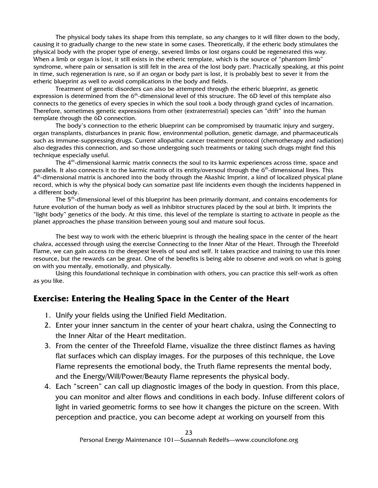The physical body takes its shape from this template, so any changes to it will filter down to the body, causing it to gradually change to the new state in some cases. Theoretically, if the etheric body stimulates the physical body with the proper type of energy, severed limbs or lost organs could be regenerated this way. When a limb or organ is lost, it still exists in the etheric template, which is the source of "phantom limb" syndrome, where pain or sensation is still felt in the area of the lost body part. Practically speaking, at this point in time, such regeneration is rare, so if an organ or body part is lost, it is probably best to sever it from the etheric blueprint as well to avoid complications in the body and fields.

Treatment of genetic disorders can also be attempted through the etheric blueprint, as genetic expression is determined from the 6<sup>th</sup>-dimensional level of this structure. The 6D level of this template also connects to the genetics of every species in which the soul took a body through grand cycles of incarnation. Therefore, sometimes genetic expressions from other (extraterrestrial) species can "drift" into the human template through the 6D connection.

The body's connection to the etheric blueprint can be compromised by traumatic injury and surgery, organ transplants, disturbances in pranic flow, environmental pollution, genetic damage, and pharmaceuticals such as immune-suppressing drugs. Current allopathic cancer treatment protocol (chemotherapy and radiation) also degrades this connection, and so those undergoing such treatments or taking such drugs might find this technique especially useful.

The  $4<sup>th</sup>$ -dimensional karmic matrix connects the soul to its karmic experiences across time, space and parallels. It also connects it to the karmic matrix of its entity/oversoul through the 6<sup>th</sup>-dimensional lines. This 4<sup>th</sup>-dimensional matrix is anchored into the body through the Akashic Imprint, a kind of localized physical plane record, which is why the physical body can somatize past life incidents even though the incidents happened in a different body.

The 5<sup>th</sup>-dimensional level of this blueprint has been primarily dormant, and contains encodements for future evolution of the human body as well as inhibitor structures placed by the soul at birth. It imprints the "light body" genetics of the body. At this time, this level of the template is starting to activate in people as the planet approaches the phase transition between young soul and mature soul focus.

The best way to work with the etheric blueprint is through the healing space in the center of the heart chakra, accessed through using the exercise Connecting to the Inner Altar of the Heart. Through the Threefold Flame, we can gain access to the deepest levels of soul and self. It takes practice and training to use this inner resource, but the rewards can be great. One of the benefits is being able to observe and work on what is going on with you mentally, emotionally, and physically.

Using this foundational technique in combination with others, you can practice this self-work as often as you like.

#### **Exercise: Entering the Healing Space in the Center of the Heart**

- 1. Unify your fields using the Unified Field Meditation.
- 2. Enter your inner sanctum in the center of your heart chakra, using the Connecting to the Inner Altar of the Heart meditation.
- 3. From the center of the Threefold Flame, visualize the three distinct flames as having flat surfaces which can display images. For the purposes of this technique, the Love Flame represents the emotional body, the Truth flame represents the mental body, and the Energy/Will/Power/Beauty Flame represents the physical body.
- 4. Each "screen" can call up diagnostic images of the body in question. From this place, you can monitor and alter flows and conditions in each body. Infuse different colors of light in varied geometric forms to see how it changes the picture on the screen. With perception and practice, you can become adept at working on yourself from this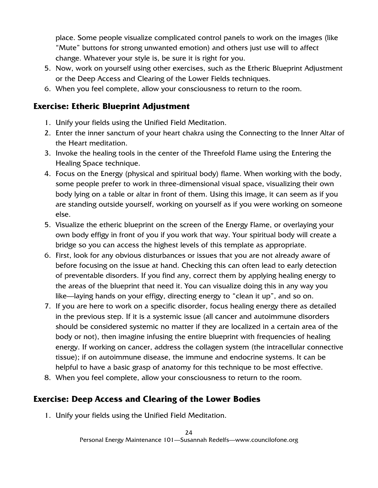place. Some people visualize complicated control panels to work on the images (like "Mute" buttons for strong unwanted emotion) and others just use will to affect change. Whatever your style is, be sure it is right for you.

- 5. Now, work on yourself using other exercises, such as the Etheric Blueprint Adjustment or the Deep Access and Clearing of the Lower Fields techniques.
- 6. When you feel complete, allow your consciousness to return to the room.

#### **Exercise: Etheric Blueprint Adjustment**

- 1. Unify your fields using the Unified Field Meditation.
- 2. Enter the inner sanctum of your heart chakra using the Connecting to the Inner Altar of the Heart meditation.
- 3. Invoke the healing tools in the center of the Threefold Flame using the Entering the Healing Space technique.
- 4. Focus on the Energy (physical and spiritual body) flame. When working with the body, some people prefer to work in three-dimensional visual space, visualizing their own body lying on a table or altar in front of them. Using this image, it can seem as if you are standing outside yourself, working on yourself as if you were working on someone else.
- 5. Visualize the etheric blueprint on the screen of the Energy Flame, or overlaying your own body effigy in front of you if you work that way. Your spiritual body will create a bridge so you can access the highest levels of this template as appropriate.
- 6. First, look for any obvious disturbances or issues that you are not already aware of before focusing on the issue at hand. Checking this can often lead to early detection of preventable disorders. If you find any, correct them by applying healing energy to the areas of the blueprint that need it. You can visualize doing this in any way you like—laying hands on your effigy, directing energy to "clean it up", and so on.
- 7. If you are here to work on a specific disorder, focus healing energy there as detailed in the previous step. If it is a systemic issue (all cancer and autoimmune disorders should be considered systemic no matter if they are localized in a certain area of the body or not), then imagine infusing the entire blueprint with frequencies of healing energy. If working on cancer, address the collagen system (the intracellular connective tissue); if on autoimmune disease, the immune and endocrine systems. It can be helpful to have a basic grasp of anatomy for this technique to be most effective.
- 8. When you feel complete, allow your consciousness to return to the room.

#### **Exercise: Deep Access and Clearing of the Lower Bodies**

1. Unify your fields using the Unified Field Meditation.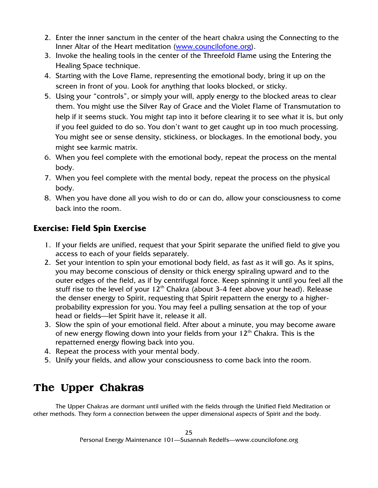- 2. Enter the inner sanctum in the center of the heart chakra using the Connecting to the Inner Altar of the Heart meditation (www.councilofone.org).
- 3. Invoke the healing tools in the center of the Threefold Flame using the Entering the Healing Space technique.
- 4. Starting with the Love Flame, representing the emotional body, bring it up on the screen in front of you. Look for anything that looks blocked, or sticky.
- 5. Using your "controls", or simply your will, apply energy to the blocked areas to clear them. You might use the Silver Ray of Grace and the Violet Flame of Transmutation to help if it seems stuck. You might tap into it before clearing it to see what it is, but only if you feel guided to do so. You don't want to get caught up in too much processing. You might see or sense density, stickiness, or blockages. In the emotional body, you might see karmic matrix.
- 6. When you feel complete with the emotional body, repeat the process on the mental body.
- 7. When you feel complete with the mental body, repeat the process on the physical body.
- 8. When you have done all you wish to do or can do, allow your consciousness to come back into the room.

#### **Exercise: Field Spin Exercise**

- 1. If your fields are unified, request that your Spirit separate the unified field to give you access to each of your fields separately.
- 2. Set your intention to spin your emotional body field, as fast as it will go. As it spins, you may become conscious of density or thick energy spiraling upward and to the outer edges of the field, as if by centrifugal force. Keep spinning it until you feel all the stuff rise to the level of your  $12<sup>th</sup>$  Chakra (about 3-4 feet above your head). Release the denser energy to Spirit, requesting that Spirit repattern the energy to a higherprobability expression for you. You may feel a pulling sensation at the top of your head or fields—let Spirit have it, release it all.
- 3. Slow the spin of your emotional field. After about a minute, you may become aware of new energy flowing down into your fields from your  $12<sup>th</sup>$  Chakra. This is the repatterned energy flowing back into you.
- 4. Repeat the process with your mental body.
- 5. Unify your fields, and allow your consciousness to come back into the room.

# **The Upper Chakras**

 The Upper Chakras are dormant until unified with the fields through the Unified Field Meditation or other methods. They form a connection between the upper dimensional aspects of Spirit and the body.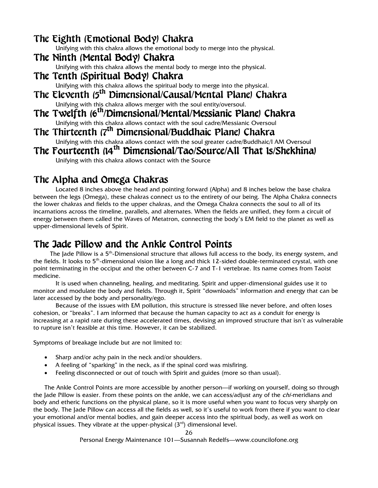#### The Eighth (Emotional Body) Chakra

Unifying with this chakra allows the emotional body to merge into the physical.

The Ninth (Mental Body) Chakra

Unifying with this chakra allows the mental body to merge into the physical.

The Tenth (Spiritual Body) Chakra

Unifying with this chakra allows the spiritual body to merge into the physical.

- The Eleventh (5<sup>th</sup> Dimensional/Causal/Mental Plane) Chakra Unifying with this chakra allows merger with the soul entity/oversoul.
- The Twelfth (6<sup>th</sup>/Dimensional/Mental/Messianic Plane) Chakra Unifying with this chakra allows contact with the soul cadre/Messianic Oversoul
- The Thirteenth (7<sup>th</sup> Dimensional/Buddhaic Plane) Chakra Unifying with this chakra allows contact with the soul greater cadre/Buddhaic/I AM Oversoul

# The Fourteenth (14<sup>th</sup> Dimensional/Tao/Source/All That 1s/Shekhina)

Unifying with this chakra allows contact with the Source

#### The Alpha and Omega Chakras

Located 8 inches above the head and pointing forward (Alpha) and 8 inches below the base chakra between the legs (Omega), these chakras connect us to the entirety of our being. The Alpha Chakra connects the lower chakras and fields to the upper chakras, and the Omega Chakra connects the soul to all of its incarnations across the timeline, parallels, and alternates. When the fields are unified, they form a circuit of energy between them called the Waves of Metatron, connecting the body's EM field to the planet as well as upper-dimensional levels of Spirit.

#### The Jade Pillow and the Ankle Control Points

The Jade Pillow is a 5<sup>th</sup>-Dimensional structure that allows full access to the body, its energy system, and the fields. It looks to 5<sup>th</sup>-dimensional vision like a long and thick 12-sided double-terminated crystal, with one point terminating in the occiput and the other between C-7 and T-1 vertebrae. Its name comes from Taoist medicine.

It is used when channeling, healing, and meditating. Spirit and upper-dimensional guides use it to monitor and modulate the body and fields. Through it, Spirit "downloads" information and energy that can be later accessed by the body and personality/ego.

Because of the issues with EM pollution, this structure is stressed like never before, and often loses cohesion, or "breaks". I am informed that because the human capacity to act as a conduit for energy is increasing at a rapid rate during these accelerated times, devising an improved structure that isn't as vulnerable to rupture isn't feasible at this time. However, it can be stabilized.

Symptoms of breakage include but are not limited to:

- Sharp and/or achy pain in the neck and/or shoulders.
- A feeling of "sparking" in the neck, as if the spinal cord was misfiring.
- Feeling disconnected or out of touch with Spirit and guides (more so than usual).

The Ankle Control Points are more accessible by another person—if working on yourself, doing so through the Jade Pillow is easier. From these points on the ankle, we can access/adjust any of the *chi*-meridians and body and etheric functions on the physical plane, so it is more useful when you want to focus very sharply on the body. The Jade Pillow can access all the fields as well, so it's useful to work from there if you want to clear your emotional and/or mental bodies, and gain deeper access into the spiritual body, as well as work on physical issues. They vibrate at the upper-physical  $(3<sup>rd</sup>)$  dimensional level.

Personal Energy Maintenance 101—Susannah Redelfs—www.councilofone.org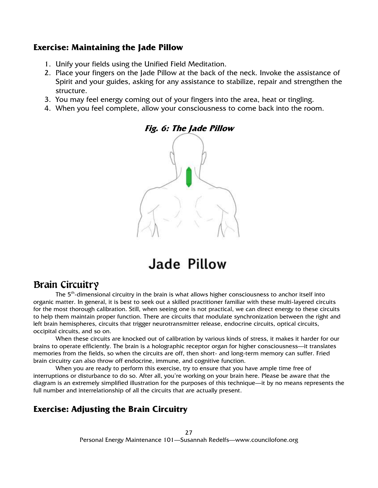#### **Exercise: Maintaining the Jade Pillow**

- 1. Unify your fields using the Unified Field Meditation.
- 2. Place your fingers on the Jade Pillow at the back of the neck. Invoke the assistance of Spirit and your guides, asking for any assistance to stabilize, repair and strengthen the structure.
- 3. You may feel energy coming out of your fingers into the area, heat or tingling.
- 4. When you feel complete, allow your consciousness to come back into the room.



# Jade Pillow

#### Brain Circuitry

The 5<sup>th</sup>-dimensional circuitry in the brain is what allows higher consciousness to anchor itself into organic matter. In general, it is best to seek out a skilled practitioner familiar with these multi-layered circuits for the most thorough calibration. Still, when seeing one is not practical, we can direct energy to these circuits to help them maintain proper function. There are circuits that modulate synchronization between the right and left brain hemispheres, circuits that trigger neurotransmitter release, endocrine circuits, optical circuits, occipital circuits, and so on.

When these circuits are knocked out of calibration by various kinds of stress, it makes it harder for our brains to operate efficiently. The brain is a holographic receptor organ for higher consciousness—it translates memories from the fields, so when the circuits are off, then short- and long-term memory can suffer. Fried brain circuitry can also throw off endocrine, immune, and cognitive function.

When you are ready to perform this exercise, try to ensure that you have ample time free of interruptions or disturbance to do so. After all, you're working on your brain here. Please be aware that the diagram is an extremely simplified illustration for the purposes of this technique—it by no means represents the full number and interrelationship of all the circuits that are actually present.

#### **Exercise: Adjusting the Brain Circuitry**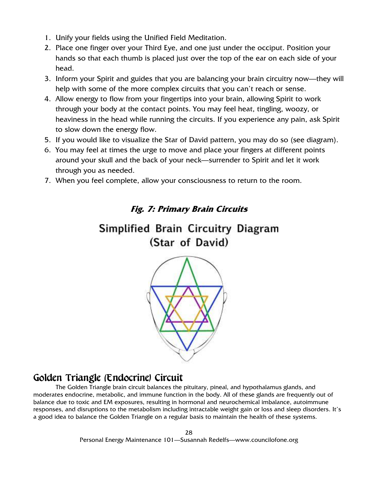- 1. Unify your fields using the Unified Field Meditation.
- 2. Place one finger over your Third Eye, and one just under the occiput. Position your hands so that each thumb is placed just over the top of the ear on each side of your head.
- 3. Inform your Spirit and guides that you are balancing your brain circuitry now—they will help with some of the more complex circuits that you can't reach or sense.
- 4. Allow energy to flow from your fingertips into your brain, allowing Spirit to work through your body at the contact points. You may feel heat, tingling, woozy, or heaviness in the head while running the circuits. If you experience any pain, ask Spirit to slow down the energy flow.
- 5. If you would like to visualize the Star of David pattern, you may do so (see diagram).
- 6. You may feel at times the urge to move and place your fingers at different points around your skull and the back of your neck—surrender to Spirit and let it work through you as needed.
- 7. When you feel complete, allow your consciousness to return to the room.

#### **Fig. 7: Primary Brain Circuits**

# Simplified Brain Circuitry Diagram (Star of David)



## Golden Triangle (Endocrine) Circuit

The Golden Triangle brain circuit balances the pituitary, pineal, and hypothalamus glands, and moderates endocrine, metabolic, and immune function in the body. All of these glands are frequently out of balance due to toxic and EM exposures, resulting in hormonal and neurochemical imbalance, autoimmune responses, and disruptions to the metabolism including intractable weight gain or loss and sleep disorders. It's a good idea to balance the Golden Triangle on a regular basis to maintain the health of these systems.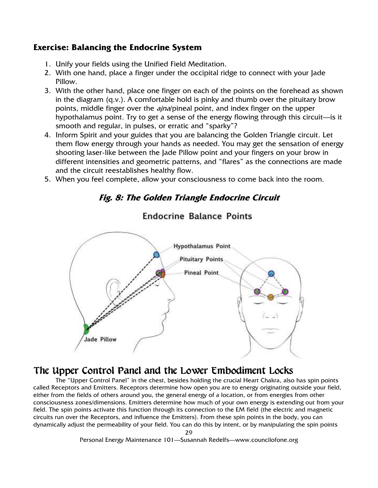#### **Exercise: Balancing the Endocrine System**

- 1. Unify your fields using the Unified Field Meditation.
- 2. With one hand, place a finger under the occipital ridge to connect with your Jade Pillow.
- 3. With the other hand, place one finger on each of the points on the forehead as shown in the diagram (q.v.). A comfortable hold is pinky and thumb over the pituitary brow points, middle finger over the *ajna*/pineal point, and index finger on the upper hypothalamus point. Try to get a sense of the energy flowing through this circuit—is it smooth and regular, in pulses, or erratic and "sparky"?
- 4. Inform Spirit and your guides that you are balancing the Golden Triangle circuit. Let them flow energy through your hands as needed. You may get the sensation of energy shooting laser-like between the Jade Pillow point and your fingers on your brow in different intensities and geometric patterns, and "flares" as the connections are made and the circuit reestablishes healthy flow.
- 5. When you feel complete, allow your consciousness to come back into the room.

#### **Fig. 8: The Golden Triangle Endocrine Circuit**



#### **Endocrine Balance Points**

## The Upper Control Panel and the Lower Embodiment Locks

The "Upper Control Panel" in the chest, besides holding the crucial Heart Chakra, also has spin points called Receptors and Emitters. Receptors determine how open you are to energy originating outside your field, either from the fields of others around you, the general energy of a location, or from energies from other consciousness zones/dimensions. Emitters determine how much of your own energy is extending out from your field. The spin points activate this function through its connection to the EM field (the electric and magnetic circuits run over the Receptors, and influence the Emitters). From these spin points in the body, you can dynamically adjust the permeability of your field. You can do this by intent, or by manipulating the spin points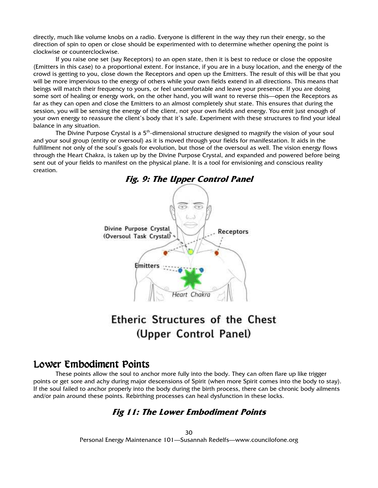directly, much like volume knobs on a radio. Everyone is different in the way they run their energy, so the direction of spin to open or close should be experimented with to determine whether opening the point is clockwise or counterclockwise.

If you raise one set (say Receptors) to an open state, then it is best to reduce or close the opposite (Emitters in this case) to a proportional extent. For instance, if you are in a busy location, and the energy of the crowd is getting to you, close down the Receptors and open up the Emitters. The result of this will be that you will be more impervious to the energy of others while your own fields extend in all directions. This means that beings will match their frequency to yours, or feel uncomfortable and leave your presence. If you are doing some sort of healing or energy work, on the other hand, you will want to reverse this—open the Receptors as far as they can open and close the Emitters to an almost completely shut state. This ensures that during the session, you will be sensing the energy of the client, not your own fields and energy. You emit just enough of your own energy to reassure the client's body that it's safe. Experiment with these structures to find your ideal balance in any situation.

The Divine Purpose Crystal is a 5<sup>th</sup>-dimensional structure designed to magnify the vision of your soul and your soul group (entity or oversoul) as it is moved through your fields for manifestation. It aids in the fulfillment not only of the soul's goals for evolution, but those of the oversoul as well. The vision energy flows through the Heart Chakra, is taken up by the Divine Purpose Crystal, and expanded and powered before being sent out of your fields to manifest on the physical plane. It is a tool for envisioning and conscious reality creation.



# Etheric Structures of the Chest (Upper Control Panel)

#### Lower Embodiment Points

These points allow the soul to anchor more fully into the body. They can often flare up like trigger points or get sore and achy during major descensions of Spirit (when more Spirit comes into the body to stay). If the soul failed to anchor properly into the body during the birth process, there can be chronic body ailments and/or pain around these points. Rebirthing processes can heal dysfunction in these locks.

#### **Fig 11: The Lower Embodiment Points**

30 Personal Energy Maintenance 101—Susannah Redelfs—www.councilofone.org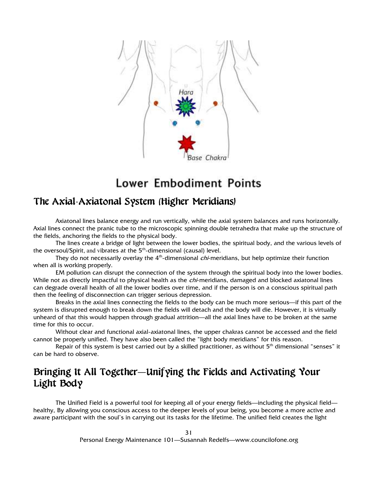

# **Lower Embodiment Points**

#### The Axial-Axiatonal System (Higher Meridians)

Axiatonal lines balance energy and run vertically, while the axial system balances and runs horizontally. Axial lines connect the pranic tube to the microscopic spinning double tetrahedra that make up the structure of the fields, anchoring the fields to the physical body.

The lines create a bridge of light between the lower bodies, the spiritual body, and the various levels of the oversoul/Spirit, and vibrates at the  $5<sup>th</sup>$ -dimensional (causal) level.

They do not necessarily overlay the  $4<sup>th</sup>$ -dimensional *chi*-meridians, but help optimize their function when all is working properly.

EM pollution can disrupt the connection of the system through the spiritual body into the lower bodies. While not as directly impactful to physical health as the *chi*-meridians, damaged and blocked axiatonal lines can degrade overall health of all the lower bodies over time, and if the person is on a conscious spiritual path then the feeling of disconnection can trigger serious depression.

Breaks in the axial lines connecting the fields to the body can be much more serious—if this part of the system is disrupted enough to break down the fields will detach and the body will die. However, it is virtually unheard of that this would happen through gradual attrition—all the axial lines have to be broken at the same time for this to occur.

Without clear and functional axial-axiatonal lines, the upper chakras cannot be accessed and the field cannot be properly unified. They have also been called the "light body meridians" for this reason.

Repair of this system is best carried out by a skilled practitioner, as without  $5<sup>th</sup>$  dimensional "senses" it can be hard to observe.

# Bringing It All Together—Unifying the Fields and Activating Your Light Body Light Body

The Unified Field is a powerful tool for keeping all of your energy fields—including the physical field healthy, By allowing you conscious access to the deeper levels of your being, you become a more active and aware participant with the soul's in carrying out its tasks for the lifetime. The unified field creates the light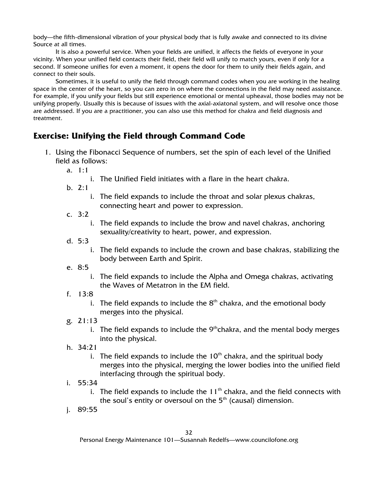body—the fifth-dimensional vibration of your physical body that is fully awake and connected to its divine Source at all times.

It is also a powerful service. When your fields are unified, it affects the fields of everyone in your vicinity. When your unified field contacts their field, their field will unify to match yours, even if only for a second. If someone unifies for even a moment, it opens the door for them to unify their fields again, and connect to their souls.

Sometimes, it is useful to unify the field through command codes when you are working in the healing space in the center of the heart, so you can zero in on where the connections in the field may need assistance. For example, if you unify your fields but still experience emotional or mental upheaval, those bodies may not be unifying properly. Usually this is because of issues with the axial-axiatonal system, and will resolve once those are addressed. If you are a practitioner, you can also use this method for chakra and field diagnosis and treatment.

#### **Exercise: Unifying the Field through Command Code**

- 1. Using the Fibonacci Sequence of numbers, set the spin of each level of the Unified field as follows:
	- a. 1:1
		- i. The Unified Field initiates with a flare in the heart chakra.
	- b. 2:1
		- i. The field expands to include the throat and solar plexus chakras, connecting heart and power to expression.
	- c. 3:2
		- i. The field expands to include the brow and navel chakras, anchoring sexuality/creativity to heart, power, and expression.
	- d. 5:3
		- i. The field expands to include the crown and base chakras, stabilizing the body between Earth and Spirit.
	- e. 8:5
		- i. The field expands to include the Alpha and Omega chakras, activating the Waves of Metatron in the EM field.
	- f. 13:8
		- i. The field expands to include the  $8<sup>th</sup>$  chakra, and the emotional body merges into the physical.
	- g. 21:13
		- i. The field expands to include the  $9<sup>th</sup>$ chakra, and the mental body merges into the physical.
	- h. 34:21
		- i. The field expands to include the  $10<sup>th</sup>$  chakra, and the spiritual body merges into the physical, merging the lower bodies into the unified field interfacing through the spiritual body.
	- i. 55:34
		- i. The field expands to include the  $11<sup>th</sup>$  chakra, and the field connects with the soul's entity or oversoul on the  $5<sup>th</sup>$  (causal) dimension.
	- j. 89:55

Personal Energy Maintenance 101—Susannah Redelfs—www.councilofone.org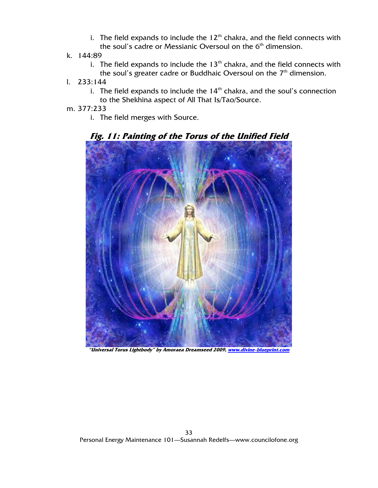- i. The field expands to include the  $12<sup>th</sup>$  chakra, and the field connects with the soul's cadre or Messianic Oversoul on the  $6<sup>th</sup>$  dimension.
- k. 144:89
	- i. The field expands to include the  $13<sup>th</sup>$  chakra, and the field connects with the soul's greater cadre or Buddhaic Oversoul on the  $7<sup>th</sup>$  dimension.
- l. 233:144
	- i. The field expands to include the  $14<sup>th</sup>$  chakra, and the soul's connection to the Shekhina aspect of All That Is/Tao/Source.
- m. 377:233
	- i. The field merges with Source.



**Fig. 11: Painting of the Torus of the Unified Field**

**"Universal Torus Lightbody" by Amoraea Dreamseed 2009, www.divine-blueprint.com**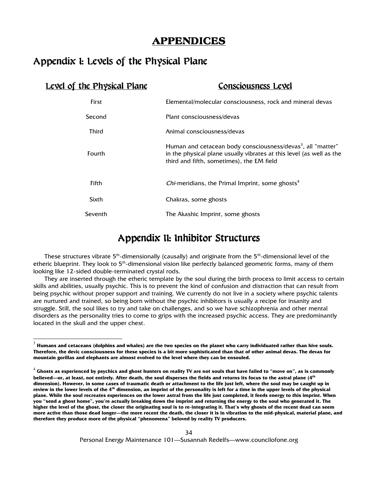#### **APPENDICES**

#### Appendix I: Levels of the Physical Plane

 $\overline{a}$ 

| <u>Level of the Physical Plane</u> | Consciousness Level                                                                                                                                                                          |
|------------------------------------|----------------------------------------------------------------------------------------------------------------------------------------------------------------------------------------------|
| First                              | Elemental/molecular consciousness, rock and mineral devas                                                                                                                                    |
| Second                             | Plant consciousness/devas                                                                                                                                                                    |
| Third                              | Animal consciousness/devas                                                                                                                                                                   |
| Fourth                             | Human and cetacean body consciousness/devas <sup>3</sup> , all "matter"<br>in the physical plane usually vibrates at this level (as well as the<br>third and fifth, sometimes), the EM field |
| Fifth                              | <i>Chi</i> -meridians, the Primal Imprint, some ghosts <sup>4</sup>                                                                                                                          |
| Sixth                              | Chakras, some ghosts                                                                                                                                                                         |
| Seventh                            | The Akashic Imprint, some ghosts                                                                                                                                                             |
|                                    |                                                                                                                                                                                              |

## Appendix II: Inhibitor Structures

These structures vibrate  $5<sup>th</sup>$ -dimensionally (causally) and originate from the  $5<sup>th</sup>$ -dimensional level of the etheric blueprint. They look to 5<sup>th</sup>-dimensional vision like perfectly balanced geometric forms, many of them looking like 12-sided double-terminated crystal rods.

They are inserted through the etheric template by the soul during the birth process to limit access to certain skills and abilities, usually psychic. This is to prevent the kind of confusion and distraction that can result from being psychic without proper support and training. We currently do not live in a society where psychic talents are nurtured and trained, so being born without the psychic inhibitors is usually a recipe for insanity and struggle. Still, the soul likes to try and take on challenges, and so we have schizophrenia and other mental disorders as the personality tries to come to grips with the increased psychic access. They are predominantly located in the skull and the upper chest.

 $^3$  Humans and cetaceans (dolphins and whales) are the two species on the planet who carry individuated rather than hive souls. **Therefore, the devic consciousness for these species is a bit more sophisticated than that of other animal devas. The devas for mountain gorillas and elephants are almost evolved to the level where they can be ensouled.**

<sup>&</sup>lt;sup>4</sup> Ghosts as experienced by psychics and ghost hunters on reality TV are not souls that have failed to "move on", as is commonly **believed—or, at least, not entirely. After death, the soul disperses the fields and returns its focus to the astral plane (4th dimension). However, in some cases of traumatic death or attachment to the life just left, where the soul may be caught up in review in the lower levels of the 4th dimension, an imprint of the personality is left for a time in the upper levels of the physical plane. While the soul recreates experiences on the lower astral from the life just completed, it feeds energy to this imprint. When you "send a ghost home", you're actually breaking down the imprint and returning the energy to the soul who generated it. The higher the level of the ghost, the closer the originating soul is to re-integrating it. That's why ghosts of the recent dead can seem more active than those dead longer—the more recent the death, the closer it is in vibration to the mid-physical, material plane, and therefore they produce more of the physical "phenomena" beloved by reality TV producers.**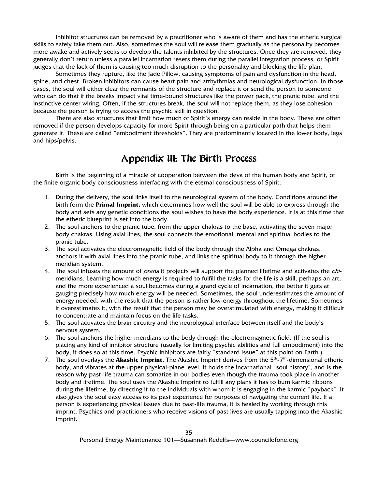Inhibitor structures can be removed by a practitioner who is aware of them and has the etheric surgical skills to safely take them out. Also, sometimes the soul will release them gradually as the personality becomes more awake and actively seeks to develop the talents inhibited by the structures. Once they are removed, they generally don't return unless a parallel incarnation resets them during the parallel integration process, or Spirit judges that the lack of them is causing too much disruption to the personality and blocking the life plan.

Sometimes they rupture, like the Jade Pillow, causing symptoms of pain and dysfunction in the head, spine, and chest. Broken inhibitors can cause heart pain and arrhythmias and neurological dysfunction. In those cases, the soul will either clear the remnants of the structure and replace it or send the person to someone who can do that if the breaks impact vital time-bound structures like the power pack, the pranic tube, and the instinctive center wiring. Often, if the structures break, the soul will not replace them, as they lose cohesion because the person is trying to access the psychic skill in question.

There are also structures that limit how much of Spirit's energy can reside in the body. These are often removed if the person develops capacity for more Spirit through being on a particular path that helps them generate it. These are called "embodiment thresholds". They are predominantly located in the lower body, legs and hips/pelvis.

#### Appendix III: The Birth Process

Birth is the beginning of a miracle of cooperation between the deva of the human body and Spirit, of the finite organic body consciousness interfacing with the eternal consciousness of Spirit.

- 1. During the delivery, the soul links itself to the neurological system of the body. Conditions around the birth form the **Primal Imprint,** which determines how well the soul will be able to express through the body and sets any genetic conditions the soul wishes to have the body experience. It is at this time that the etheric blueprint is set into the body.
- 2. The soul anchors to the pranic tube, from the upper chakras to the base, activating the seven major body chakras. Using axial lines, the soul connects the emotional, mental and spiritual bodies to the pranic tube.
- 3. The soul activates the electromagnetic field of the body through the Alpha and Omega chakras, anchors it with axial lines into the pranic tube, and links the spiritual body to it through the higher meridian system.
- 4. The soul infuses the amount of *prana* it projects will support the planned lifetime and activates the *chi*meridians. Learning how much energy is required to fulfill the tasks for the life is a skill, perhaps an art, and the more experienced a soul becomes during a grand cycle of incarnation, the better it gets at gauging precisely how much energy will be needed. Sometimes, the soul underestimates the amount of energy needed, with the result that the person is rather low-energy throughout the lifetime. Sometimes it overestimates it, with the result that the person may be overstimulated with energy, making it difficult to concentrate and maintain focus on the life tasks.
- 5. The soul activates the brain circuitry and the neurological interface between itself and the body's nervous system.
- 6. The soul anchors the higher meridians to the body through the electromagnetic field. (If the soul is placing any kind of inhibitor structure (usually for limiting psychic abilities and full embodiment) into the body, it does so at this time. Psychic inhibitors are fairly "standard issue" at this point on Earth.)
- 7. The soul overlays the **Akashic Imprint.** The Akashic Imprint derives from the 5th-7th-dimensional etheric body, and vibrates at the upper physical-plane level. It holds the incarnational "soul history", and is the reason why past-life trauma can somatize in our bodies even though the trauma took place in another body and lifetime. The soul uses the Akashic Imprint to fulfill any plans it has to burn karmic ribbons during the lifetime, by directing it to the individuals with whom it is engaging in the karmic "payback". It also gives the soul easy access to its past experience for purposes of navigating the current life. If a person is experiencing physical issues due to past-life trauma, it is healed by working through this imprint. Psychics and practitioners who receive visions of past lives are usually tapping into the Akashic Imprint.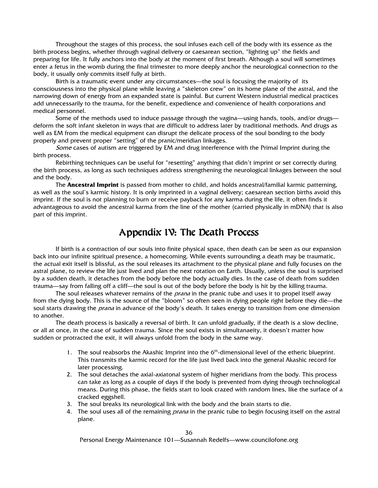Throughout the stages of this process, the soul infuses each cell of the body with its essence as the birth process begins, whether through vaginal delivery or caesarean section, "lighting up" the fields and preparing for life. It fully anchors into the body at the moment of first breath. Although a soul will sometimes enter a fetus in the womb during the final trimester to more deeply anchor the neurological connection to the body, it usually only commits itself fully at birth.

Birth is a traumatic event under any circumstances—the soul is focusing the majority of its consciousness into the physical plane while leaving a "skeleton crew" on its home plane of the astral, and the narrowing down of energy from an expanded state is painful. But current Western industrial medical practices add unnecessarily to the trauma, for the benefit, expedience and convenience of health corporations and medical personnel.

Some of the methods used to induce passage through the vagina—using hands, tools, and/or drugs deform the soft infant skeleton in ways that are difficult to address later by traditional methods. And drugs as well as EM from the medical equipment can disrupt the delicate process of the soul bonding to the body properly and prevent proper "setting" of the pranic/meridian linkages.

Some cases of autism are triggered by EM and drug interference with the Primal Imprint during the birth process.

Rebirthing techniques can be useful for "resetting" anything that didn't imprint or set correctly during the birth process, as long as such techniques address strengthening the neurological linkages between the soul and the body.

The **Ancestral Imprint** is passed from mother to child, and holds ancestral/familial karmic patterning, as well as the soul's karmic history. It is only imprinted in a vaginal delivery; caesarean section births avoid this imprint. If the soul is not planning to burn or receive payback for any karma during the life, it often finds it advantageous to avoid the ancestral karma from the line of the mother (carried physically in mDNA) that is also part of this imprint.

#### Appendix IV: The Death Process

If birth is a contraction of our souls into finite physical space, then death can be seen as our expansion back into our infinite spiritual presence, a homecoming. While events surrounding a death may be traumatic, the actual exit itself is blissful, as the soul releases its attachment to the physical plane and fully focuses on the astral plane, to review the life just lived and plan the next rotation on Earth. Usually, unless the soul is surprised by a sudden death, it detaches from the body before the body actually dies. In the case of death from sudden trauma—say from falling off a cliff—the soul is out of the body before the body is hit by the killing trauma.

The soul releases whatever remains of the *prana* in the pranic tube and uses it to propel itself away from the dying body. This is the source of the "bloom" so often seen in dying people right before they die—the soul starts drawing the *prana* in advance of the body's death. It takes energy to transition from one dimension to another.

 The death process is basically a reversal of birth. It can unfold gradually, if the death is a slow decline, or all at once, in the case of sudden trauma. Since the soul exists in simultanaeity, it doesn't matter how sudden or protracted the exit, it will always unfold from the body in the same way.

- 1. The soul reabsorbs the Akashic Imprint into the 6<sup>th</sup>-dimensional level of the etheric blueprint. This transmits the karmic record for the life just lived back into the general Akashic record for later processing.
- 2. The soul detaches the axial-axiatonal system of higher meridians from the body. This process can take as long as a couple of days if the body is prevented from dying through technological means. During this phase, the fields start to look crazed with random lines, like the surface of a cracked eggshell.
- 3. The soul breaks its neurological link with the body and the brain starts to die.
- 4. The soul uses all of the remaining *prana* in the pranic tube to begin focusing itself on the astral plane.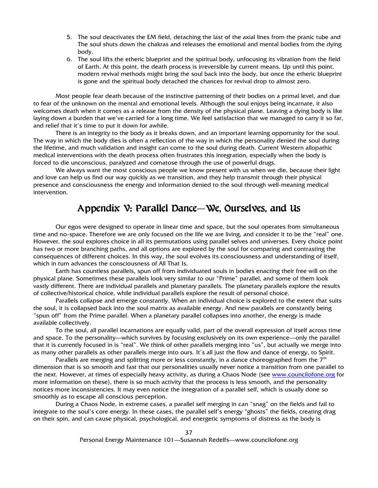- 5. The soul deactivates the EM field, detaching the last of the axial lines from the pranic tube and The soul shuts down the chakras and releases the emotional and mental bodies from the dying body.
- 6. The soul lifts the etheric blueprint and the spiritual body, unfocusing its vibration from the field of Earth. At this point, the death process is irreversible by current means. Up until this point, modern revival methods might bring the soul back into the body, but once the etheric blueprint is gone and the spiritual body detached the chances for revival drop to almost zero.

Most people fear death because of the instinctive patterning of their bodies on a primal level, and due to fear of the unknown on the mental and emotional levels. Although the soul enjoys being incarnate, it also welcomes death when it comes as a release from the density of the physical plane. Leaving a dying body is like laying down a burden that we've carried for a long time. We feel satisfaction that we managed to carry it so far, and relief that it's time to put it down for awhile.

There is an integrity to the body as it breaks down, and an important learning opportunity for the soul. The way in which the body dies is often a reflection of the way in which the personality denied the soul during the lifetime, and much validation and insight can come to the soul during death. Current Western allopathic medical interventions with the death process often frustrates this integration, especially when the body is forced to die unconscious, paralyzed and comatose through the use of powerful drugs.

We always want the most conscious people we know present with us when we die, because their light and love can help us find our way quickly as we transition, and they help transmit through their physical presence and consciousness the energy and information denied to the soul through well-meaning medical intervention.

## Appendix V: Parallel Dance—We, Ourselves, and Us

Our egos were designed to operate in linear time and space, but the soul operates from simultaneous time and no-space. Therefore we are only focused on the life we are living, and consider it to be the "real" one. However, the soul explores choice in all its permutations using parallel selves and universes. Every choice point has two or more branching paths, and all options are explored by the soul for comparing and contrasting the consequences of different choices. In this way, the soul evolves its consciousness and understanding of itself, which in turn advances the consciousness of All That Is.

Earth has countless parallels, spun off from individuated souls in bodies enacting their free will on the physical plane. Sometimes these parallels look very similar to our "Prime" parallel, and some of them look vastly different. There are individual parallels and planetary parallels. The planetary parallels explore the results of collective/historical choice, while individual parallels explore the result of personal choice.

Parallels collapse and emerge constantly. When an individual choice is explored to the extent that suits the soul, it is collapsed back into the soul matrix as available energy. And new parallels are constantly being "spun off" from the Prime parallel. When a planetary parallel collapses into another, the energy is made available collectively.

To the soul, all parallel incarnations are equally valid, part of the overall expression of itself across time and space. To the personality—which survives by focusing exclusively on its own experience—only the parallel that it is currently focused in is "real". We think of other parallels merging into "us", but actually we merge into as many other parallels as other parallels merge into ours. It's all just the flow and dance of energy, to Spirit.

Parallels are merging and splitting more or less constantly, in a dance choreographed from the  $7<sup>th</sup>$ dimension that is so smooth and fast that our personalities usually never notice a transition from one parallel to the next. However, at times of especially heavy activity, as during a Chaos Node (see www.councilofone.org for more information on these), there is so much activity that the process is less smooth, and the personality notices more inconsistencies. It may even notice the integration of a parallel self, which is usually done so smoothly as to escape all conscious perception.

During a Chaos Node, in extreme cases, a parallel self merging in can "snag" on the fields and fail to integrate to the soul's core energy. In these cases, the parallel self's energy "ghosts" the fields, creating drag on their spin, and can cause physical, psychological, and energetic symptoms of distress as the body is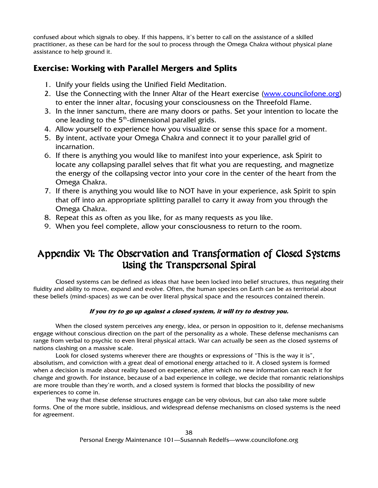confused about which signals to obey. If this happens, it's better to call on the assistance of a skilled practitioner, as these can be hard for the soul to process through the Omega Chakra without physical plane assistance to help ground it.

#### **Exercise: Working with Parallel Mergers and Splits**

- 1. Unify your fields using the Unified Field Meditation.
- 2. Use the Connecting with the Inner Altar of the Heart exercise (www.councilofone.org) to enter the inner altar, focusing your consciousness on the Threefold Flame.
- 3. In the inner sanctum, there are many doors or paths. Set your intention to locate the one leading to the 5<sup>th</sup>-dimensional parallel grids.
- 4. Allow yourself to experience how you visualize or sense this space for a moment.
- 5. By intent, activate your Omega Chakra and connect it to your parallel grid of incarnation.
- 6. If there is anything you would like to manifest into your experience, ask Spirit to locate any collapsing parallel selves that fit what you are requesting, and magnetize the energy of the collapsing vector into your core in the center of the heart from the Omega Chakra.
- 7. If there is anything you would like to NOT have in your experience, ask Spirit to spin that off into an appropriate splitting parallel to carry it away from you through the Omega Chakra.
- 8. Repeat this as often as you like, for as many requests as you like.
- 9. When you feel complete, allow your consciousness to return to the room.

# Appendix VI: The Observation and Transformation of Closed Systems Using the Transpersonal Spiral

Closed systems can be defined as ideas that have been locked into belief structures, thus negating their fluidity and ability to move, expand and evolve. Often, the human species on Earth can be as territorial about these beliefs (mind-spaces) as we can be over literal physical space and the resources contained therein.

#### **If you try to go up against a closed system, it will try to destroy you.**

When the closed system perceives any energy, idea, or person in opposition to it, defense mechanisms engage without conscious direction on the part of the personality as a whole. These defense mechanisms can range from verbal to psychic to even literal physical attack. War can actually be seen as the closed systems of nations clashing on a massive scale.

Look for closed systems wherever there are thoughts or expressions of "This is the way it is", absolutism, and conviction with a great deal of emotional energy attached to it. A closed system is formed when a decision is made about reality based on experience, after which no new information can reach it for change and growth. For instance, because of a bad experience in college, we decide that romantic relationships are more trouble than they're worth, and a closed system is formed that blocks the possibility of new experiences to come in.

The way that these defense structures engage can be very obvious, but can also take more subtle forms. One of the more subtle, insidious, and widespread defense mechanisms on closed systems is the need for agreement.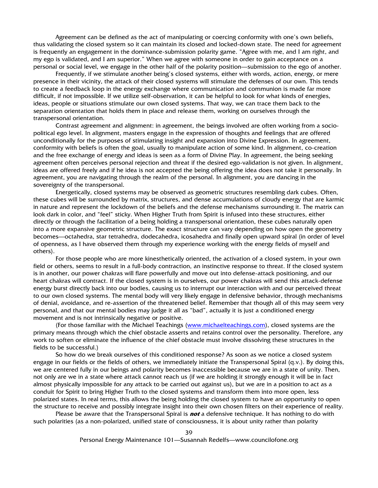Agreement can be defined as the act of manipulating or coercing conformity with one's own beliefs, thus validating the closed system so it can maintain its closed and locked-down state. The need for agreement is frequently an engagement in the dominance-submission polarity game. "Agree with me, and I am right, and my ego is validated, and I am superior." When we agree with someone in order to gain acceptance on a personal or social level, we engage in the other half of the polarity position—submission to the ego of another.

Frequently, if we stimulate another being's closed systems, either with words, action, energy, or mere presence in their vicinity, the attack of their closed systems will stimulate the defenses of our own. This tends to create a feedback loop in the energy exchange where communication and communion is made far more difficult, if not impossible. If we utilize self-observation, it can be helpful to look for what kinds of energies, ideas, people or situations stimulate our own closed systems. That way, we can trace them back to the separation orientation that holds them in place and release them, working on ourselves through the transpersonal orientation.

Contrast agreement and alignment: in agreement, the beings involved are often working from a sociopolitical ego level. In alignment, masters engage in the expression of thoughts and feelings that are offered unconditionally for the purposes of stimulating insight and expansion into Divine Expression. In agreement, conformity with beliefs is often the goal, usually to manipulate action of some kind. In alignment, co-creation and the free exchange of energy and ideas is seen as a form of Divine Play. In agreement, the being seeking agreement often perceives personal rejection and threat if the desired ego-validation is not given. In alignment, ideas are offered freely and if he idea is not accepted the being offering the idea does not take it personally. In agreement, you are navigating through the realm of the personal. In alignment, you are dancing in the sovereignty of the transpersonal.

Energetically, closed systems may be observed as geometric structures resembling dark cubes. Often, these cubes will be surrounded by matrix, structures, and dense accumulations of cloudy energy that are karmic in nature and represent the lockdown of the beliefs and the defense mechanisms surrounding it. The matrix can look dark in color, and "feel" sticky. When Higher Truth from Spirit is infused into these structures, either directly or through the facilitation of a being holding a transpersonal orientation, these cubes naturally open into a more expansive geometric structure. The exact structure can vary depending on how open the geometry becomes—octahedra, star tetrahedra, dodecahedra, icosahedra and finally open upward spiral (in order of level of openness, as I have observed them through my experience working with the energy fields of myself and others).

For those people who are more kinesthetically oriented, the activation of a closed system, in your own field or others, seems to result in a full-body contraction, an instinctive response to threat. If the closed system is in another, our power chakras will flare powerfully and move out into defense-attack positioning, and our heart chakras will contract. If the closed system is in ourselves, our power chakras will send this attack-defense energy burst directly back into our bodies, causing us to interrupt our interaction with and our perceived threat to our own closed systems. The mental body will very likely engage in defensive behavior, through mechanisms of denial, avoidance, and re-assertion of the threatened belief. Remember that though all of this may seem very personal, and that our mental bodies may judge it all as "bad", actually it is just a conditioned energy movement and is not intrinsically negative or positive.

(For those familiar with the Michael Teachings (www.michaelteachings.com), closed systems are the primary means through which the chief obstacle asserts and retains control over the personality. Therefore, any work to soften or eliminate the influence of the chief obstacle must involve dissolving these structures in the fields to be successful.)

So how do we break ourselves of this conditioned response? As soon as we notice a closed system engage in our fields or the fields of others, we immediately initiate the Transpersonal Spiral (q.v.). By doing this, we are centered fully in our beings and polarity becomes inaccessible because we are in a state of unity. Then, not only are we in a state where attack cannot reach us (if we are holding it strongly enough it will be in fact almost physically impossible for any attack to be carried out against us), but we are in a position to act as a conduit for Spirit to bring Higher Truth to the closed systems and transform them into more open, less polarized states. In real terms, this allows the being holding the closed system to have an opportunity to open the structure to receive and possibly integrate insight into their own chosen filters on their experience of reality.

Please be aware that the Transpersonal Spiral is **not** a defensive technique. It has nothing to do with such polarities (as a non-polarized, unified state of consciousness, it is about unity rather than polarity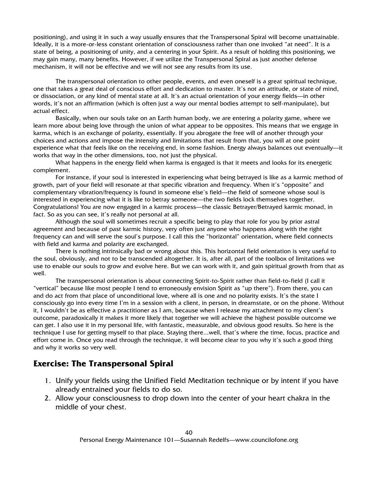positioning), and using it in such a way usually ensures that the Transpersonal Spiral will become unattainable. Ideally, it is a more-or-less constant orientation of consciousness rather than one invoked "at need". It is a state of being, a positioning of unity, and a centering in your Spirit. As a result of holding this positioning, we may gain many, many benefits. However, if we utilize the Transpersonal Spiral as just another defense mechanism, it will not be effective and we will not see any results from its use.

The transpersonal orientation to other people, events, and even oneself is a great spiritual technique, one that takes a great deal of conscious effort and dedication to master. It's not an attitude, or state of mind, or dissociation, or any kind of mental state at all. It's an actual orientation of your energy fields—in other words, it's not an affirmation (which is often just a way our mental bodies attempt to self-manipulate), but actual effect.

Basically, when our souls take on an Earth human body, we are entering a polarity game, where we learn more about being love through the union of what appear to be opposites. This means that we engage in karma, which is an exchange of polarity, essentially. If you abrogate the free will of another through your choices and actions and impose the intensity and limitations that result from that, you will at one point experience what that feels like on the receiving end, in some fashion. Energy always balances out eventually—it works that way in the other dimensions, too, not just the physical.

What happens in the energy field when karma is engaged is that it meets and looks for its energetic complement.

For instance, if your soul is interested in experiencing what being betrayed is like as a karmic method of growth, part of your field will resonate at that specific vibration and frequency. When it's "opposite" and complementary vibration/frequency is found in someone else's field—the field of someone whose soul is interested in experiencing what it is like to betray someone—the two fields lock themselves together. Congratulations! You are now engaged in a karmic process—the classic Betrayer/Betrayed karmic monad, in fact. So as you can see, it's really not personal at all.

Although the soul will sometimes recruit a specific being to play that role for you by prior astral agreement and because of past karmic history, very often just anyone who happens along with the right frequency can and will serve the soul's purpose. I call this the "horizontal" orientation, where field connects with field and karma and polarity are exchanged.

There is nothing intrinsically bad or wrong about this. This horizontal field orientation is very useful to the soul, obviously, and not to be transcended altogether. It is, after all, part of the toolbox of limitations we use to enable our souls to grow and evolve here. But we can work with it, and gain spiritual growth from that as well.

The transpersonal orientation is about connecting Spirit-to-Spirit rather than field-to-field (I call it "vertical" because like most people I tend to erroneously envision Spirit as "up there"). From there, you can and do act from that place of unconditional love, where all is one and no polarity exists. It's the state I consciously go into every time I'm in a session with a client, in person, in dreamstate, or on the phone. Without it, I wouldn't be as effective a practitioner as I am, because when I release my attachment to my client's outcome, paradoxically it makes it more likely that together we will achieve the highest possible outcome we can get. I also use it in my personal life, with fantastic, measurable, and obvious good results. So here is the technique I use for getting myself to that place. Staying there...well, that's where the time, focus, practice and effort come in. Once you read through the technique, it will become clear to you why it's such a good thing and why it works so very well.

#### **Exercise: The Transpersonal Spiral**

- 1. Unify your fields using the Unified Field Meditation technique or by intent if you have already entrained your fields to do so.
- 2. Allow your consciousness to drop down into the center of your heart chakra in the middle of your chest.